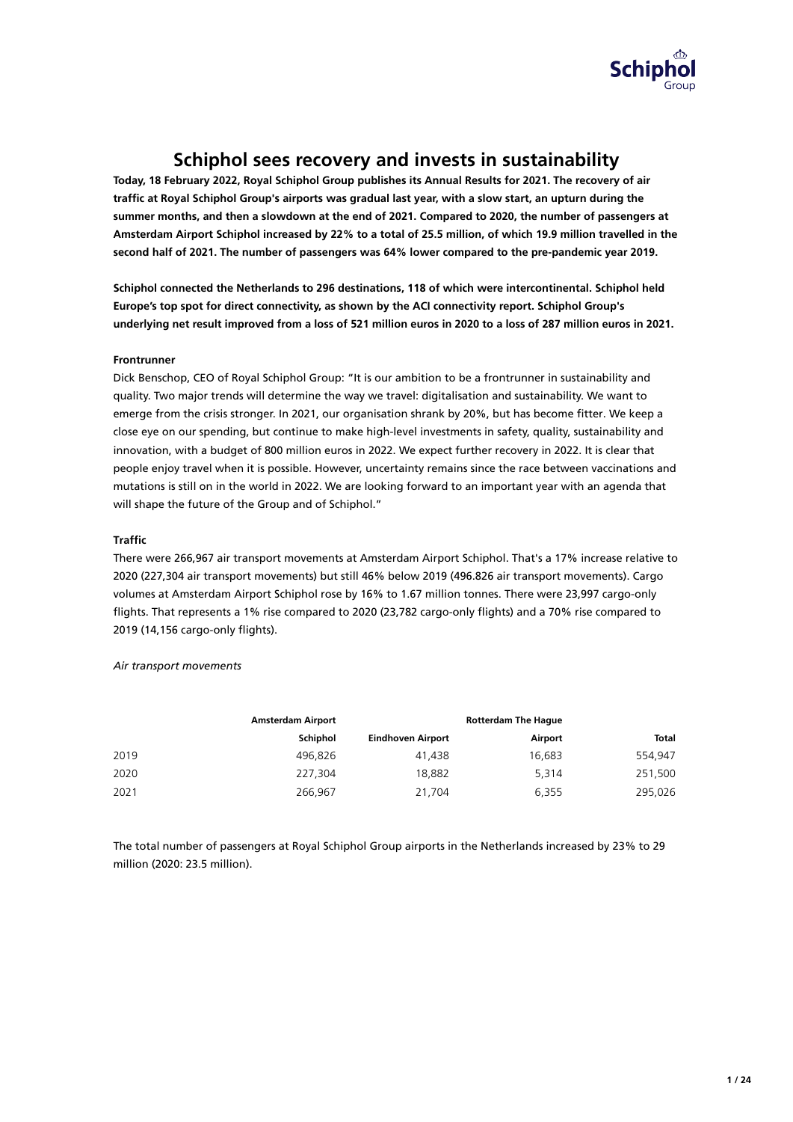

# **Schiphol sees recovery and invests in sustainability**

**Today, 18 February 2022, Royal Schiphol Group publishes its Annual Results for 2021. The recovery of air** traffic at Royal Schiphol Group's airports was gradual last year, with a slow start, an upturn during the **summer months, and then a slowdown at the end of 2021. Compared to 2020, the number of passengers at Amsterdam Airport Schiphol increased by 22% to a total of 25.5 million, of which 19.9 million travelled in the second half of 2021. The number of passengers was 64% lower compared to the pre-pandemic year 2019.**

**Schiphol connected the Netherlands to 296 destinations, 118 of which were intercontinental. Schiphol held Europe's top spot for direct connectivity, as shown by the ACI connectivity report. Schiphol Group's underlying net result improved from a loss of 521 million euros in 2020 to a loss of 287 million euros in 2021.**

## **Frontrunner**

Dick Benschop, CEO of Royal Schiphol Group: "It is our ambition to be a frontrunner in sustainability and quality. Two major trends will determine the way we travel: digitalisation and sustainability. We want to emerge from the crisis stronger. In 2021, our organisation shrank by 20%, but has become fitter. We keep a close eye on our spending, but continue to make high-level investments in safety, quality, sustainability and innovation, with a budget of 800 million euros in 2022. We expect further recovery in 2022. It is clear that people enjoy travel when it is possible. However, uncertainty remains since the race between vaccinations and mutations is still on in the world in 2022. We are looking forward to an important year with an agenda that will shape the future of the Group and of Schiphol."

## **Traffic**

There were 266,967 air transport movements at Amsterdam Airport Schiphol. That's a 17% increase relative to 2020 (227,304 air transport movements) but still 46% below 2019 (496.826 air transport movements). Cargo volumes at Amsterdam Airport Schiphol rose by 16% to 1.67 million tonnes. There were 23,997 cargo-only flights. That represents a 1% rise compared to 2020 (23,782 cargo-only flights) and a 70% rise compared to 2019 (14,156 cargo-only flights).

**Amsterdam Airport Schiphol Eindhoven Airport Rotterdam The Hague Airport Total** 2019 496,826 41,438 16,683 554,947 2020 227,304 18,882 5,314 251,500 2021 266,967 21,704 6,355 295,026

#### *Air transport movements*

The total number of passengers at Royal Schiphol Group airports in the Netherlands increased by 23% to 29 million (2020: 23.5 million).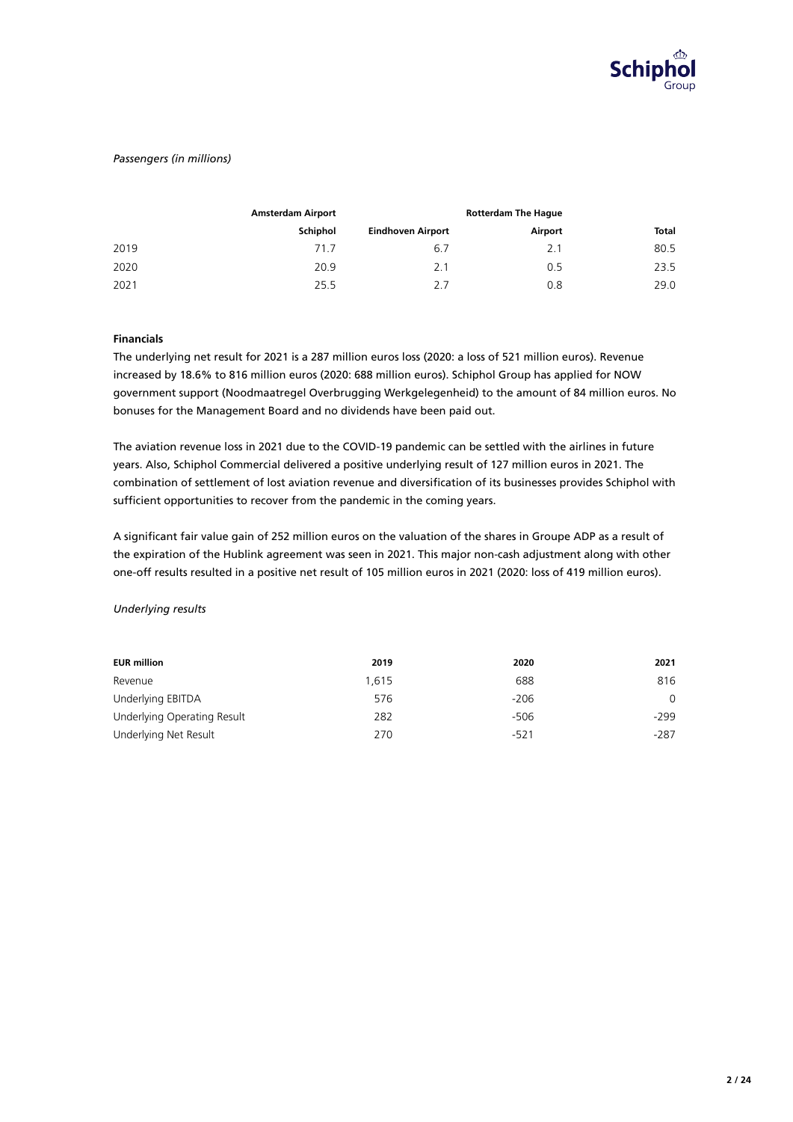

### *Passengers (in millions)*

|      | <b>Amsterdam Airport</b> | <b>Rotterdam The Hague</b> |         |       |  |  |
|------|--------------------------|----------------------------|---------|-------|--|--|
|      | Schiphol                 | <b>Eindhoven Airport</b>   | Airport | Total |  |  |
| 2019 | 71.7                     | 6.7                        | 2.1     | 80.5  |  |  |
| 2020 | 20.9                     | 2.1                        | 0.5     | 23.5  |  |  |
| 2021 | 25.5                     | 2.7                        | 0.8     | 29.0  |  |  |

## **Financials**

The underlying net result for 2021 is a 287 million euros loss (2020: a loss of 521 million euros). Revenue increased by 18.6% to 816 million euros (2020: 688 million euros). Schiphol Group has applied for NOW government support (Noodmaatregel Overbrugging Werkgelegenheid) to the amount of 84 million euros. No bonuses for the Management Board and no dividends have been paid out.

The aviation revenue loss in 2021 due to the COVID-19 pandemic can be settled with the airlines in future years. Also, Schiphol Commercial delivered a positive underlying result of 127 million euros in 2021. The combination of settlement of lost aviation revenue and diversification of its businesses provides Schiphol with sufficient opportunities to recover from the pandemic in the coming years.

A significant fair value gain of 252 million euros on the valuation of the shares in Groupe ADP as a result of the expiration of the Hublink agreement was seen in 2021. This major non-cash adjustment along with other one-off results resulted in a positive net result of 105 million euros in 2021 (2020: loss of 419 million euros).

#### *Underlying results*

| <b>EUR million</b>          | 2019  | 2020   | 2021     |
|-----------------------------|-------|--------|----------|
| Revenue                     | 1.615 | 688    | 816      |
| Underlying EBITDA           | 576   | $-206$ | $\Omega$ |
| Underlying Operating Result | 282   | $-506$ | $-299$   |
| Underlying Net Result       | 270   | $-521$ | $-287$   |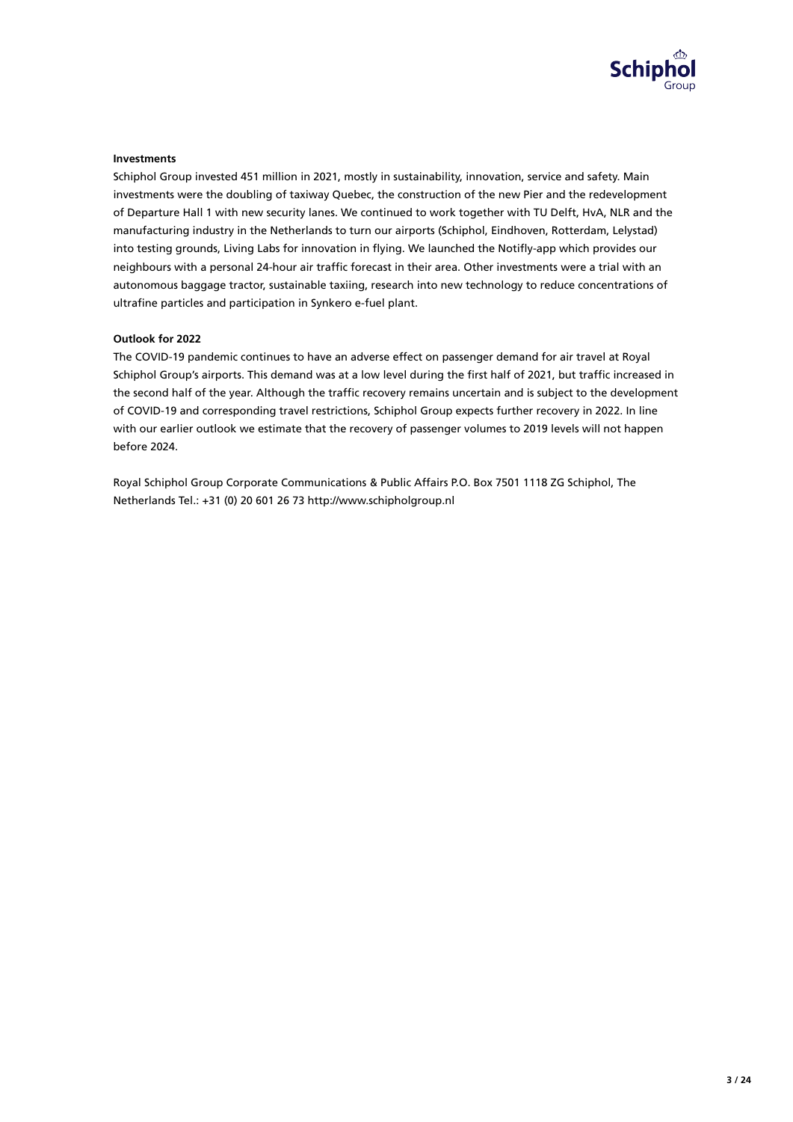

#### **Investments**

Schiphol Group invested 451 million in 2021, mostly in sustainability, innovation, service and safety. Main investments were the doubling of taxiway Quebec, the construction of the new Pier and the redevelopment of Departure Hall 1 with new security lanes. We continued to work together with TU Delft, HvA, NLR and the manufacturing industry in the Netherlands to turn our airports (Schiphol, Eindhoven, Rotterdam, Lelystad) into testing grounds, Living Labs for innovation in flying. We launched the Notifly-app which provides our neighbours with a personal 24-hour air traffic forecast in their area. Other investments were a trial with an autonomous baggage tractor, sustainable taxiing, research into new technology to reduce concentrations of ultrafine particles and participation in Synkero e-fuel plant.

#### **Outlook for 2022**

The COVID-19 pandemic continues to have an adverse effect on passenger demand for air travel at Royal Schiphol Group's airports. This demand was at a low level during the first half of 2021, but traffic increased in the second half of the year. Although the traffic recovery remains uncertain and is subject to the development of COVID-19 and corresponding travel restrictions, Schiphol Group expects further recovery in 2022. In line with our earlier outlook we estimate that the recovery of passenger volumes to 2019 levels will not happen before 2024.

Royal Schiphol Group Corporate Communications & Public Affairs P.O. Box 7501 1118 ZG Schiphol, The Netherlands Tel.: +31 (0) 20 601 26 73 http://www.schipholgroup.nl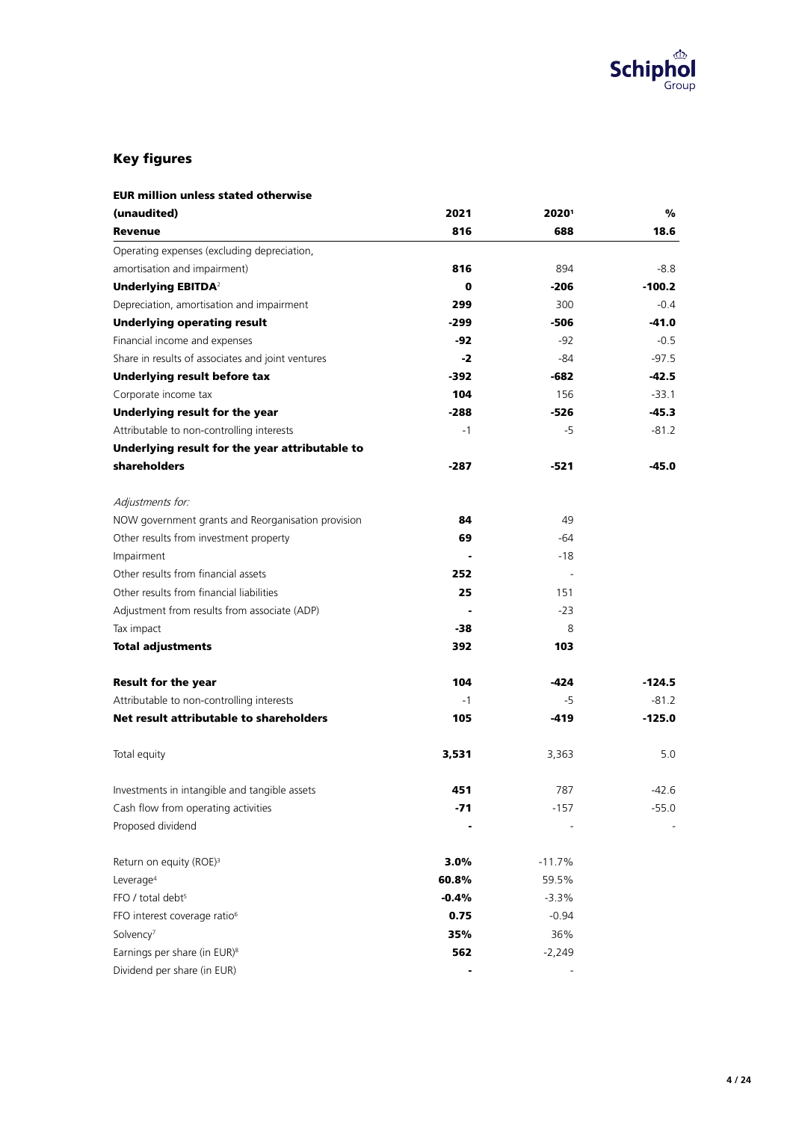

# Key figures

| <b>EUR million unless stated otherwise</b>         |          |          |          |
|----------------------------------------------------|----------|----------|----------|
| (unaudited)                                        | 2021     | 20201    | %        |
| <b>Revenue</b>                                     | 816      | 688      | 18.6     |
| Operating expenses (excluding depreciation,        |          |          |          |
| amortisation and impairment)                       | 816      | 894      | $-8.8$   |
| <b>Underlying EBITDA</b> <sup>2</sup>              | $\bf{0}$ | $-206$   | $-100.2$ |
| Depreciation, amortisation and impairment          | 299      | 300      | $-0.4$   |
| <b>Underlying operating result</b>                 | $-299$   | $-506$   | $-41.0$  |
| Financial income and expenses                      | $-92$    | $-92$    | $-0.5$   |
| Share in results of associates and joint ventures  | -2       | -84      | $-97.5$  |
| <b>Underlying result before tax</b>                | $-392$   | $-682$   | -42.5    |
| Corporate income tax                               | 104      | 156      | $-33.1$  |
| Underlying result for the year                     | $-288$   | -526     | -45.3    |
| Attributable to non-controlling interests          | $-1$     | -5       | $-81.2$  |
| Underlying result for the year attributable to     |          |          |          |
| shareholders                                       | -287     | $-521$   | -45.0    |
| Adjustments for:                                   |          |          |          |
| NOW government grants and Reorganisation provision | 84       | 49       |          |
| Other results from investment property             | 69       | -64      |          |
| Impairment                                         |          | $-18$    |          |
| Other results from financial assets                | 252      |          |          |
| Other results from financial liabilities           | 25       | 151      |          |
| Adjustment from results from associate (ADP)       |          | $-23$    |          |
| Tax impact                                         | -38      | 8        |          |
| <b>Total adjustments</b>                           | 392      | 103      |          |
| <b>Result for the year</b>                         | 104      | -424     | $-124.5$ |
| Attributable to non-controlling interests          | $-1$     | -5       | $-81.2$  |
| Net result attributable to shareholders            | 105      | -419     | $-125.0$ |
| Total equity                                       | 3,531    | 3,363    | 5.0      |
| Investments in intangible and tangible assets      | 451      | 787      | -42.6    |
| Cash flow from operating activities                | -71      | $-157$   | $-55.0$  |
| Proposed dividend                                  |          |          |          |
| Return on equity (ROE) <sup>3</sup>                | 3.0%     | $-11.7%$ |          |
| Leverage <sup>4</sup>                              | 60.8%    | 59.5%    |          |
| FFO / total debt <sup>5</sup>                      | $-0.4%$  | $-3.3%$  |          |
| FFO interest coverage ratio <sup>6</sup>           | 0.75     | $-0.94$  |          |
| Solvency <sup>7</sup>                              | 35%      | 36%      |          |
| Earnings per share (in EUR) <sup>8</sup>           | 562      | $-2,249$ |          |
| Dividend per share (in EUR)                        |          |          |          |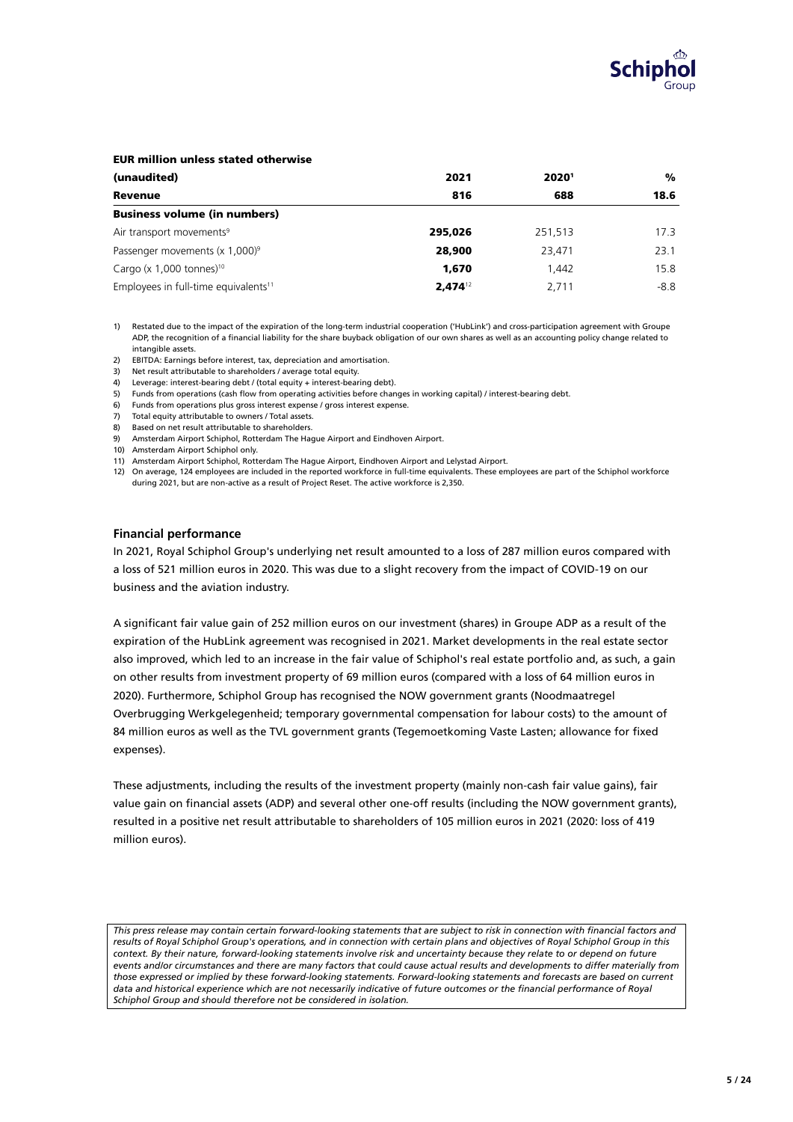

#### EUR million unless stated otherwise

| (unaudited)                                      | 2021         | 20201   | %      |
|--------------------------------------------------|--------------|---------|--------|
| <b>Revenue</b>                                   | 816          | 688     | 18.6   |
| <b>Business volume (in numbers)</b>              |              |         |        |
| Air transport movements <sup>9</sup>             | 295,026      | 251.513 | 17.3   |
| Passenger movements $(x 1,000)^9$                | 28,900       | 23,471  | 23.1   |
| Cargo (x $1,000$ tonnes) <sup>10</sup>           | 1,670        | 1.442   | 15.8   |
| Employees in full-time equivalents <sup>11</sup> | $2.474^{12}$ | 2.711   | $-8.8$ |

1) Restated due to the impact of the expiration of the long-term industrial cooperation ('HubLink') and cross-participation agreement with Groupe ADP, the recognition of a financial liability for the share buyback obligation of our own shares as well as an accounting policy change related to intangible assets.

2) EBITDA: Earnings before interest, tax, depreciation and amortisation.

3) Net result attributable to shareholders / average total equity.

4) Leverage: interest-bearing debt / (total equity + interest-bearing debt).

5) Funds from operations (cash flow from operating activities before changes in working capital) / interest-bearing debt.

- 6) Funds from operations plus gross interest expense / gross interest expense.
- 7) Total equity attributable to owners / Total assets.
- 8) Based on net result attributable to shareholders.
- 9) Amsterdam Airport Schiphol, Rotterdam The Hague Airport and Eindhoven Airport.

10) Amsterdam Airport Schiphol only.

11) Amsterdam Airport Schiphol, Rotterdam The Hague Airport, Eindhoven Airport and Lelystad Airport.

12) On average, 124 employees are included in the reported workforce in full-time equivalents. These employees are part of the Schiphol workforce during 2021, but are non-active as a result of Project Reset. The active workforce is 2,350.

#### **Financial performance**

In 2021, Royal Schiphol Group's underlying net result amounted to a loss of 287 million euros compared with a loss of 521 million euros in 2020. This was due to a slight recovery from the impact of COVID-19 on our business and the aviation industry.

A significant fair value gain of 252 million euros on our investment (shares) in Groupe ADP as a result of the expiration of the HubLink agreement was recognised in 2021. Market developments in the real estate sector also improved, which led to an increase in the fair value of Schiphol's real estate portfolio and, as such, a gain on other results from investment property of 69 million euros (compared with a loss of 64 million euros in 2020). Furthermore, Schiphol Group has recognised the NOW government grants (Noodmaatregel Overbrugging Werkgelegenheid; temporary governmental compensation for labour costs) to the amount of 84 million euros as well as the TVL government grants (Tegemoetkoming Vaste Lasten; allowance for fixed expenses).

These adjustments, including the results of the investment property (mainly non-cash fair value gains), fair value gain on financial assets (ADP) and several other one-off results (including the NOW government grants), resulted in a positive net result attributable to shareholders of 105 million euros in 2021 (2020: loss of 419 million euros).

This press release may contain certain forward-looking statements that are subject to risk in connection with financial factors and *results of Royal Schiphol Group's operations, and in connection with certain plans and objectives of Royal Schiphol Group in this context. By their nature, forward-looking statements involve risk and uncertainty because they relate to or depend on future events and/or circumstances and there are many factors that could cause actual results and developments to differ materially from those expressed or implied by these forward-looking statements. Forward-looking statements and forecasts are based on current* data and historical experience which are not necessarily indicative of future outcomes or the financial performance of Royal *Schiphol Group and should therefore not be considered in isolation.*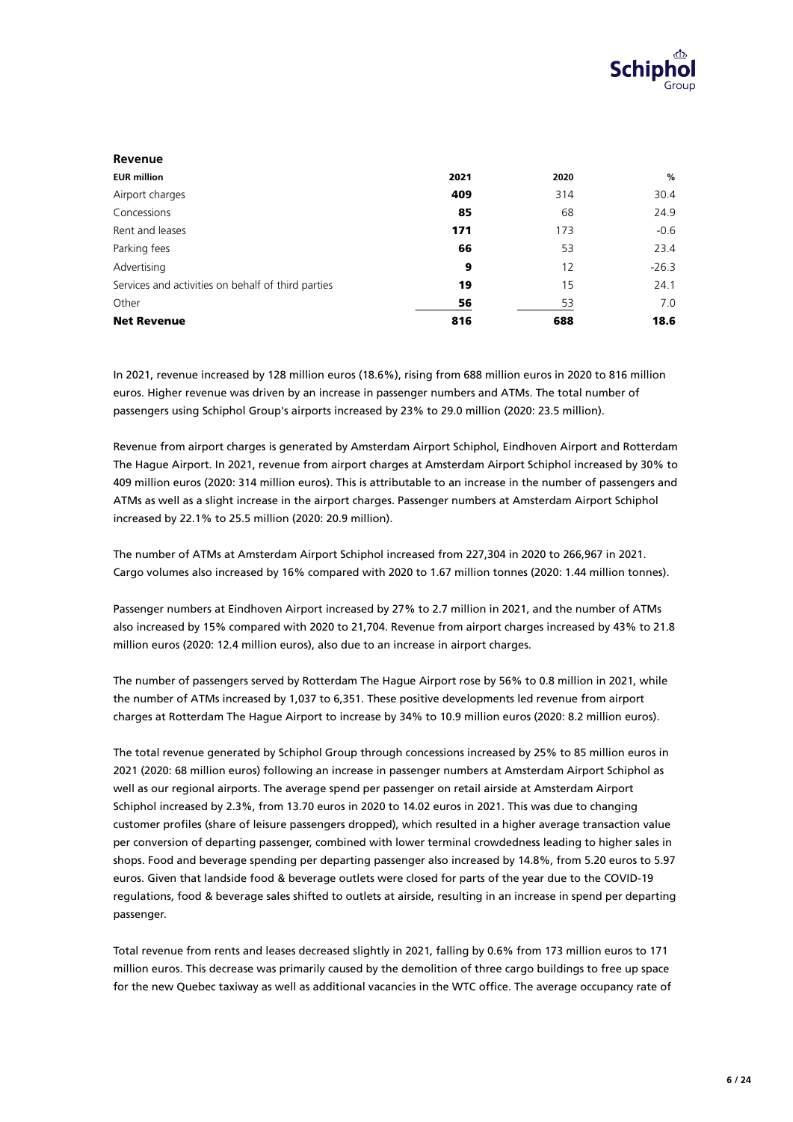

| Revenue                                            |      |      |         |
|----------------------------------------------------|------|------|---------|
| <b>EUR million</b>                                 | 2021 | 2020 | %       |
| Airport charges                                    | 409  | 314  | 30.4    |
| Concessions                                        | 85   | 68   | 24.9    |
| Rent and leases                                    | 171  | 173  | $-0.6$  |
| Parking fees                                       | 66   | 53   | 23.4    |
| Advertising                                        | 9    | 12   | $-26.3$ |
| Services and activities on behalf of third parties | 19   | 15   | 24.1    |
| Other                                              | 56   | 53   | 7.0     |
| <b>Net Revenue</b>                                 | 816  | 688  | 18.6    |

In 2021, revenue increased by 128 million euros (18.6%), rising from 688 million euros in 2020 to 816 million euros. Higher revenue was driven by an increase in passenger numbers and ATMs. The total number of passengers using Schiphol Group's airports increased by 23% to 29.0 million (2020: 23.5 million).

Revenue from airport charges is generated by Amsterdam Airport Schiphol, Eindhoven Airport and Rotterdam The Hague Airport. In 2021, revenue from airport charges at Amsterdam Airport Schiphol increased by 30% to 409 million euros (2020: 314 million euros). This is attributable to an increase in the number of passengers and ATMs as well as a slight increase in the airport charges. Passenger numbers at Amsterdam Airport Schiphol increased by 22.1% to 25.5 million (2020: 20.9 million).

The number of ATMs at Amsterdam Airport Schiphol increased from 227,304 in 2020 to 266,967 in 2021. Cargo volumes also increased by 16% compared with 2020 to 1.67 million tonnes (2020: 1.44 million tonnes).

Passenger numbers at Eindhoven Airport increased by 27% to 2.7 million in 2021, and the number of ATMs also increased by 15% compared with 2020 to 21,704. Revenue from airport charges increased by 43% to 21.8 million euros (2020: 12.4 million euros), also due to an increase in airport charges.

The number of passengers served by Rotterdam The Hague Airport rose by 56% to 0.8 million in 2021, while the number of ATMs increased by 1,037 to 6,351. These positive developments led revenue from airport charges at Rotterdam The Hague Airport to increase by 34% to 10.9 million euros (2020: 8.2 million euros).

The total revenue generated by Schiphol Group through concessions increased by 25% to 85 million euros in 2021 (2020: 68 million euros) following an increase in passenger numbers at Amsterdam Airport Schiphol as well as our regional airports. The average spend per passenger on retail airside at Amsterdam Airport Schiphol increased by 2.3%, from 13.70 euros in 2020 to 14.02 euros in 2021. This was due to changing customer profiles (share of leisure passengers dropped), which resulted in a higher average transaction value per conversion of departing passenger, combined with lower terminal crowdedness leading to higher sales in shops. Food and beverage spending per departing passenger also increased by 14.8%, from 5.20 euros to 5.97 euros. Given that landside food & beverage outlets were closed for parts of the year due to the COVID-19 regulations, food & beverage sales shifted to outlets at airside, resulting in an increase in spend per departing passenger.

Total revenue from rents and leases decreased slightly in 2021, falling by 0.6% from 173 million euros to 171 million euros. This decrease was primarily caused by the demolition of three cargo buildings to free up space for the new Quebec taxiway as well as additional vacancies in the WTC office. The average occupancy rate of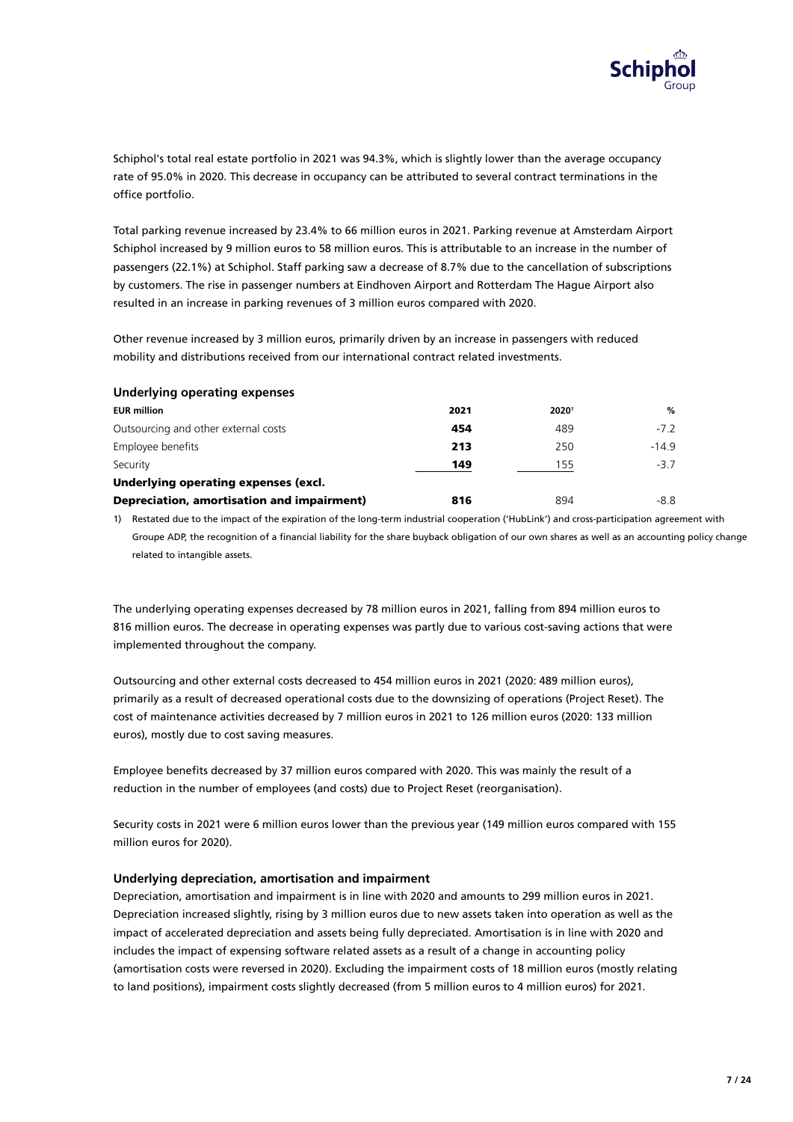

Schiphol's total real estate portfolio in 2021 was 94.3%, which is slightly lower than the average occupancy rate of 95.0% in 2020. This decrease in occupancy can be attributed to several contract terminations in the office portfolio.

Total parking revenue increased by 23.4% to 66 million euros in 2021. Parking revenue at Amsterdam Airport Schiphol increased by 9 million euros to 58 million euros. This is attributable to an increase in the number of passengers (22.1%) at Schiphol. Staff parking saw a decrease of 8.7% due to the cancellation of subscriptions by customers. The rise in passenger numbers at Eindhoven Airport and Rotterdam The Hague Airport also resulted in an increase in parking revenues of 3 million euros compared with 2020.

Other revenue increased by 3 million euros, primarily driven by an increase in passengers with reduced mobility and distributions received from our international contract related investments.

#### **Underlying operating expenses**

| <b>EUR million</b>                         | 2021 | 20201 | %      |
|--------------------------------------------|------|-------|--------|
| Outsourcing and other external costs       | 454  | 489   | $-7.2$ |
| Employee benefits                          | 213  | 250   | $-149$ |
| Security                                   | 149  | 155   | $-37$  |
| Underlying operating expenses (excl.       |      |       |        |
| Depreciation, amortisation and impairment) | 816  | 894   | -8.8   |

1) Restated due to the impact of the expiration of the long-term industrial cooperation ('HubLink') and cross-participation agreement with Groupe ADP, the recognition of a financial liability for the share buyback obligation of our own shares as well as an accounting policy change related to intangible assets.

The underlying operating expenses decreased by 78 million euros in 2021, falling from 894 million euros to 816 million euros. The decrease in operating expenses was partly due to various cost-saving actions that were implemented throughout the company.

Outsourcing and other external costs decreased to 454 million euros in 2021 (2020: 489 million euros), primarily as a result of decreased operational costs due to the downsizing of operations (Project Reset). The cost of maintenance activities decreased by 7 million euros in 2021 to 126 million euros (2020: 133 million euros), mostly due to cost saving measures.

Employee benefits decreased by 37 million euros compared with 2020. This was mainly the result of a reduction in the number of employees (and costs) due to Project Reset (reorganisation).

Security costs in 2021 were 6 million euros lower than the previous year (149 million euros compared with 155 million euros for 2020).

#### **Underlying depreciation, amortisation and impairment**

Depreciation, amortisation and impairment is in line with 2020 and amounts to 299 million euros in 2021. Depreciation increased slightly, rising by 3 million euros due to new assets taken into operation as well as the impact of accelerated depreciation and assets being fully depreciated. Amortisation is in line with 2020 and includes the impact of expensing software related assets as a result of a change in accounting policy (amortisation costs were reversed in 2020). Excluding the impairment costs of 18 million euros (mostly relating to land positions), impairment costs slightly decreased (from 5 million euros to 4 million euros) for 2021.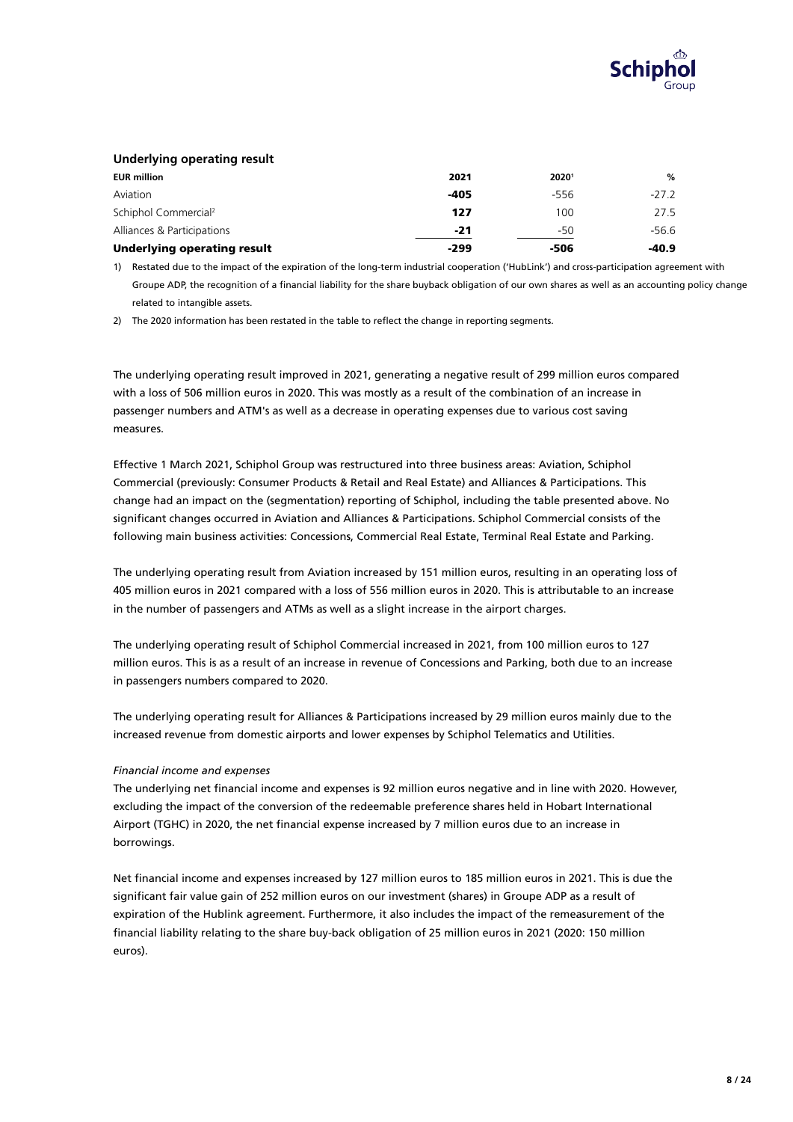

## **Underlying operating result**

| <b>EUR million</b>                 | 2021   | 20201  | %       |
|------------------------------------|--------|--------|---------|
| Aviation                           | $-405$ | $-556$ | $-27.2$ |
| Schiphol Commercial <sup>2</sup>   | 127    | 100    | 27.5    |
| Alliances & Participations         | -21    | -50    | -56.6   |
| <b>Underlying operating result</b> | -299   | -506   | $-40.9$ |

1) Restated due to the impact of the expiration of the long-term industrial cooperation ('HubLink') and cross-participation agreement with Groupe ADP, the recognition of a financial liability for the share buyback obligation of our own shares as well as an accounting policy change related to intangible assets.

2) The 2020 information has been restated in the table to reflect the change in reporting segments.

The underlying operating result improved in 2021, generating a negative result of 299 million euros compared with a loss of 506 million euros in 2020. This was mostly as a result of the combination of an increase in passenger numbers and ATM's as well as a decrease in operating expenses due to various cost saving measures.

Effective 1 March 2021, Schiphol Group was restructured into three business areas: Aviation, Schiphol Commercial (previously: Consumer Products & Retail and Real Estate) and Alliances & Participations. This change had an impact on the (segmentation) reporting of Schiphol, including the table presented above. No significant changes occurred in Aviation and Alliances & Participations. Schiphol Commercial consists of the following main business activities: Concessions, Commercial Real Estate, Terminal Real Estate and Parking.

The underlying operating result from Aviation increased by 151 million euros, resulting in an operating loss of 405 million euros in 2021 compared with a loss of 556 million euros in 2020. This is attributable to an increase in the number of passengers and ATMs as well as a slight increase in the airport charges.

The underlying operating result of Schiphol Commercial increased in 2021, from 100 million euros to 127 million euros. This is as a result of an increase in revenue of Concessions and Parking, both due to an increase in passengers numbers compared to 2020.

The underlying operating result for Alliances & Participations increased by 29 million euros mainly due to the increased revenue from domestic airports and lower expenses by Schiphol Telematics and Utilities.

#### *Financial income and expenses*

The underlying net financial income and expenses is 92 million euros negative and in line with 2020. However, excluding the impact of the conversion of the redeemable preference shares held in Hobart International Airport (TGHC) in 2020, the net financial expense increased by 7 million euros due to an increase in borrowings.

Net financial income and expenses increased by 127 million euros to 185 million euros in 2021. This is due the significant fair value gain of 252 million euros on our investment (shares) in Groupe ADP as a result of expiration of the Hublink agreement. Furthermore, it also includes the impact of the remeasurement of the financial liability relating to the share buy-back obligation of 25 million euros in 2021 (2020: 150 million euros).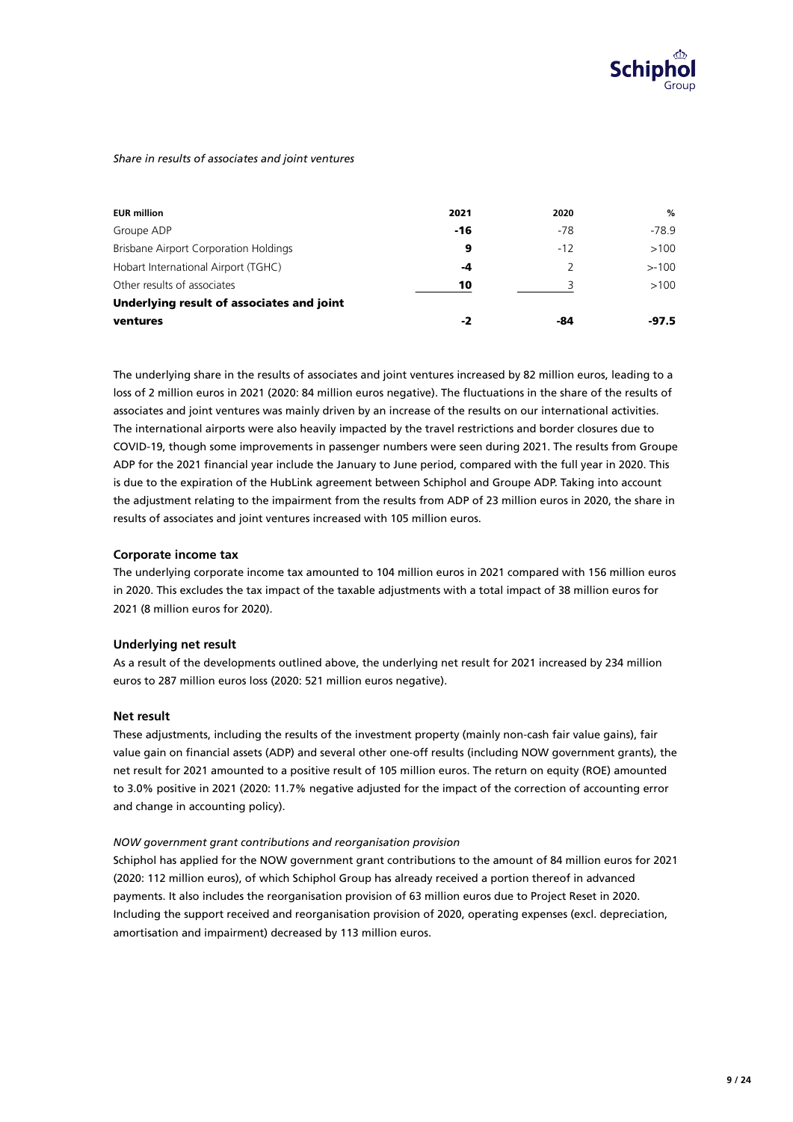

#### *Share in results of associates and joint ventures*

| <b>EUR million</b>                           | 2021  | 2020  | %        |
|----------------------------------------------|-------|-------|----------|
| Groupe ADP                                   | $-16$ | -78   | -78.9    |
| <b>Brisbane Airport Corporation Holdings</b> | 9     | $-12$ | >100     |
| Hobart International Airport (TGHC)          | -4    |       | $> -100$ |
| Other results of associates                  | 10    |       | >100     |
| Underlying result of associates and joint    |       |       |          |
| ventures                                     | -2    | -84   | -97.5    |

The underlying share in the results of associates and joint ventures increased by 82 million euros, leading to a loss of 2 million euros in 2021 (2020: 84 million euros negative). The fluctuations in the share of the results of associates and joint ventures was mainly driven by an increase of the results on our international activities. The international airports were also heavily impacted by the travel restrictions and border closures due to COVID-19, though some improvements in passenger numbers were seen during 2021. The results from Groupe ADP for the 2021 financial year include the January to June period, compared with the full year in 2020. This is due to the expiration of the HubLink agreement between Schiphol and Groupe ADP. Taking into account the adjustment relating to the impairment from the results from ADP of 23 million euros in 2020, the share in results of associates and joint ventures increased with 105 million euros.

#### **Corporate income tax**

The underlying corporate income tax amounted to 104 million euros in 2021 compared with 156 million euros in 2020. This excludes the tax impact of the taxable adjustments with a total impact of 38 million euros for 2021 (8 million euros for 2020).

#### **Underlying net result**

As a result of the developments outlined above, the underlying net result for 2021 increased by 234 million euros to 287 million euros loss (2020: 521 million euros negative).

#### **Net result**

These adjustments, including the results of the investment property (mainly non-cash fair value gains), fair value gain on financial assets (ADP) and several other one-off results (including NOW government grants), the net result for 2021 amounted to a positive result of 105 million euros. The return on equity (ROE) amounted to 3.0% positive in 2021 (2020: 11.7% negative adjusted for the impact of the correction of accounting error and change in accounting policy).

#### *NOW government grant contributions and reorganisation provision*

Schiphol has applied for the NOW government grant contributions to the amount of 84 million euros for 2021 (2020: 112 million euros), of which Schiphol Group has already received a portion thereof in advanced payments. It also includes the reorganisation provision of 63 million euros due to Project Reset in 2020. Including the support received and reorganisation provision of 2020, operating expenses (excl. depreciation, amortisation and impairment) decreased by 113 million euros.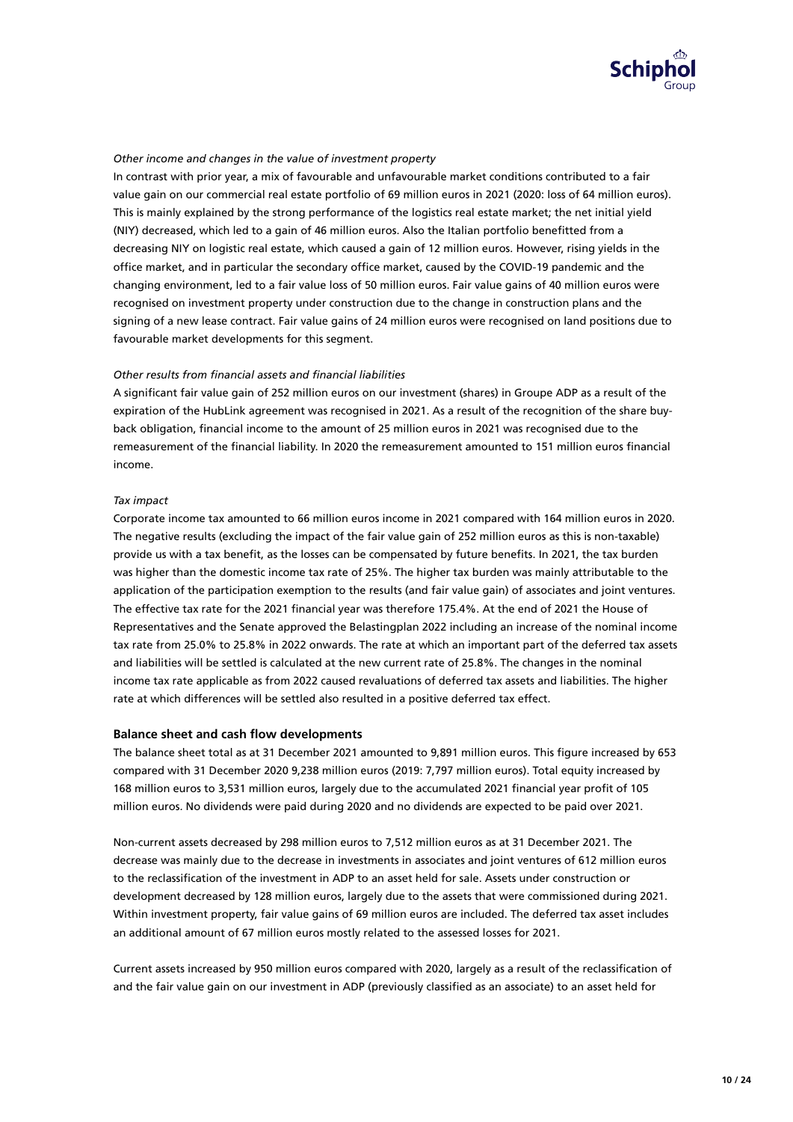

## *Other income and changes in the value of investment property*

In contrast with prior year, a mix of favourable and unfavourable market conditions contributed to a fair value gain on our commercial real estate portfolio of 69 million euros in 2021 (2020: loss of 64 million euros). This is mainly explained by the strong performance of the logistics real estate market; the net initial yield (NIY) decreased, which led to a gain of 46 million euros. Also the Italian portfolio benefitted from a decreasing NIY on logistic real estate, which caused a gain of 12 million euros. However, rising yields in the office market, and in particular the secondary office market, caused by the COVID-19 pandemic and the changing environment, led to a fair value loss of 50 million euros. Fair value gains of 40 million euros were recognised on investment property under construction due to the change in construction plans and the signing of a new lease contract. Fair value gains of 24 million euros were recognised on land positions due to favourable market developments for this segment.

#### **Other results from financial assets and financial liabilities**

A significant fair value gain of 252 million euros on our investment (shares) in Groupe ADP as a result of the expiration of the HubLink agreement was recognised in 2021. As a result of the recognition of the share buyback obligation, financial income to the amount of 25 million euros in 2021 was recognised due to the remeasurement of the financial liability. In 2020 the remeasurement amounted to 151 million euros financial income.

#### *Tax impact*

Corporate income tax amounted to 66 million euros income in 2021 compared with 164 million euros in 2020. The negative results (excluding the impact of the fair value gain of 252 million euros as this is non-taxable) provide us with a tax benefit, as the losses can be compensated by future benefits. In 2021, the tax burden was higher than the domestic income tax rate of 25%. The higher tax burden was mainly attributable to the application of the participation exemption to the results (and fair value gain) of associates and joint ventures. The effective tax rate for the 2021 financial year was therefore 175.4%. At the end of 2021 the House of Representatives and the Senate approved the Belastingplan 2022 including an increase of the nominal income tax rate from 25.0% to 25.8% in 2022 onwards. The rate at which an important part of the deferred tax assets and liabilities will be settled is calculated at the new current rate of 25.8%. The changes in the nominal income tax rate applicable as from 2022 caused revaluations of deferred tax assets and liabilities. The higher rate at which differences will be settled also resulted in a positive deferred tax effect.

#### **Balance sheet and cash flow developments**

The balance sheet total as at 31 December 2021 amounted to 9.891 million euros. This figure increased by 653 compared with 31 December 2020 9,238 million euros (2019: 7,797 million euros). Total equity increased by 168 million euros to 3,531 million euros, largely due to the accumulated 2021 financial year profit of 105 million euros. No dividends were paid during 2020 and no dividends are expected to be paid over 2021.

Non-current assets decreased by 298 million euros to 7,512 million euros as at 31 December 2021. The decrease was mainly due to the decrease in investments in associates and joint ventures of 612 million euros to the reclassification of the investment in ADP to an asset held for sale. Assets under construction or development decreased by 128 million euros, largely due to the assets that were commissioned during 2021. Within investment property, fair value gains of 69 million euros are included. The deferred tax asset includes an additional amount of 67 million euros mostly related to the assessed losses for 2021.

Current assets increased by 950 million euros compared with 2020, largely as a result of the reclassification of and the fair value gain on our investment in ADP (previously classified as an associate) to an asset held for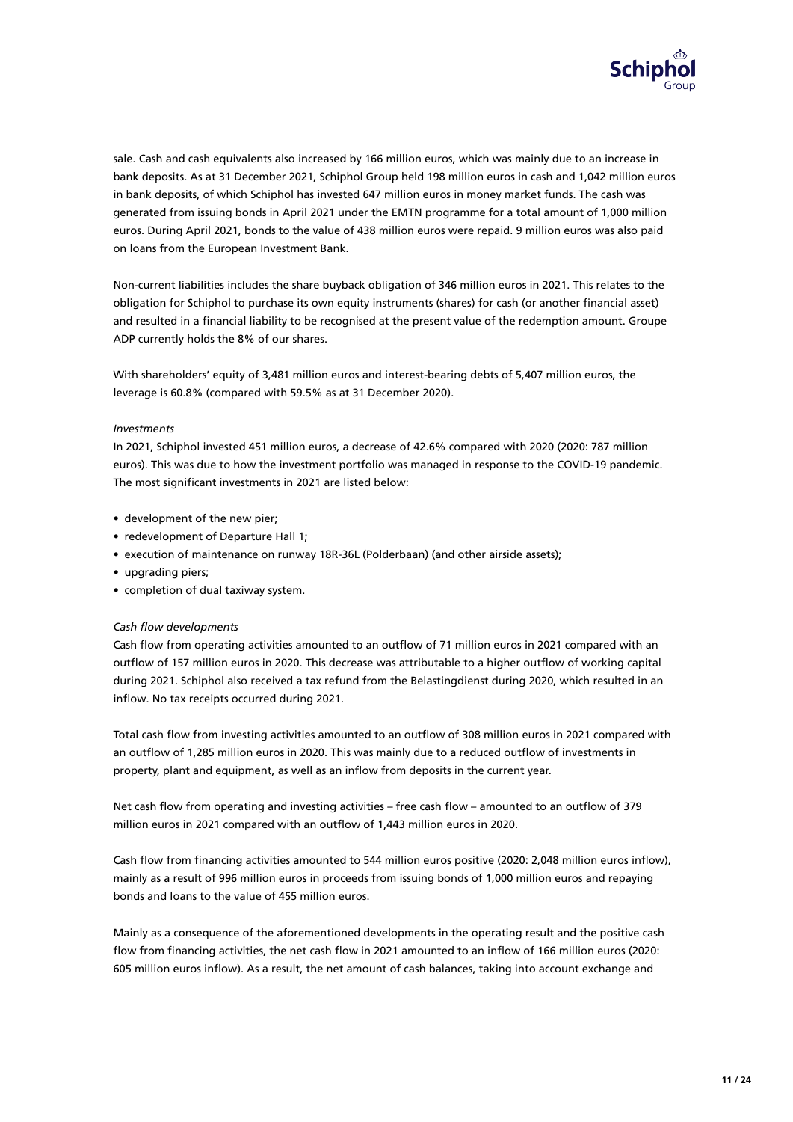

sale. Cash and cash equivalents also increased by 166 million euros, which was mainly due to an increase in bank deposits. As at 31 December 2021, Schiphol Group held 198 million euros in cash and 1,042 million euros in bank deposits, of which Schiphol has invested 647 million euros in money market funds. The cash was generated from issuing bonds in April 2021 under the EMTN programme for a total amount of 1,000 million euros. During April 2021, bonds to the value of 438 million euros were repaid. 9 million euros was also paid on loans from the European Investment Bank.

Non-current liabilities includes the share buyback obligation of 346 million euros in 2021. This relates to the obligation for Schiphol to purchase its own equity instruments (shares) for cash (or another financial asset) and resulted in a financial liability to be recognised at the present value of the redemption amount. Groupe ADP currently holds the 8% of our shares.

With shareholders' equity of 3,481 million euros and interest-bearing debts of 5,407 million euros, the leverage is 60.8% (compared with 59.5% as at 31 December 2020).

#### *Investments*

In 2021, Schiphol invested 451 million euros, a decrease of 42.6% compared with 2020 (2020: 787 million euros). This was due to how the investment portfolio was managed in response to the COVID-19 pandemic. The most significant investments in 2021 are listed below:

- development of the new pier;
- redevelopment of Departure Hall 1;
- execution of maintenance on runway 18R-36L (Polderbaan) (and other airside assets);
- upgrading piers;
- completion of dual taxiway system.

#### **Cash flow developments**

Cash flow from operating activities amounted to an outflow of 71 million euros in 2021 compared with an outflow of 157 million euros in 2020. This decrease was attributable to a higher outflow of working capital during 2021. Schiphol also received a tax refund from the Belastingdienst during 2020, which resulted in an inflow. No tax receipts occurred during 2021.

Total cash flow from investing activities amounted to an outflow of 308 million euros in 2021 compared with an outflow of 1,285 million euros in 2020. This was mainly due to a reduced outflow of investments in property, plant and equipment, as well as an inflow from deposits in the current year.

Net cash flow from operating and investing activities – free cash flow – amounted to an outflow of 379 million euros in 2021 compared with an outflow of 1,443 million euros in 2020.

Cash flow from financing activities amounted to 544 million euros positive (2020: 2,048 million euros inflow), mainly as a result of 996 million euros in proceeds from issuing bonds of 1,000 million euros and repaying bonds and loans to the value of 455 million euros.

Mainly as a consequence of the aforementioned developments in the operating result and the positive cash flow from financing activities, the net cash flow in 2021 amounted to an inflow of 166 million euros (2020: 605 million euros inflow). As a result, the net amount of cash balances, taking into account exchange and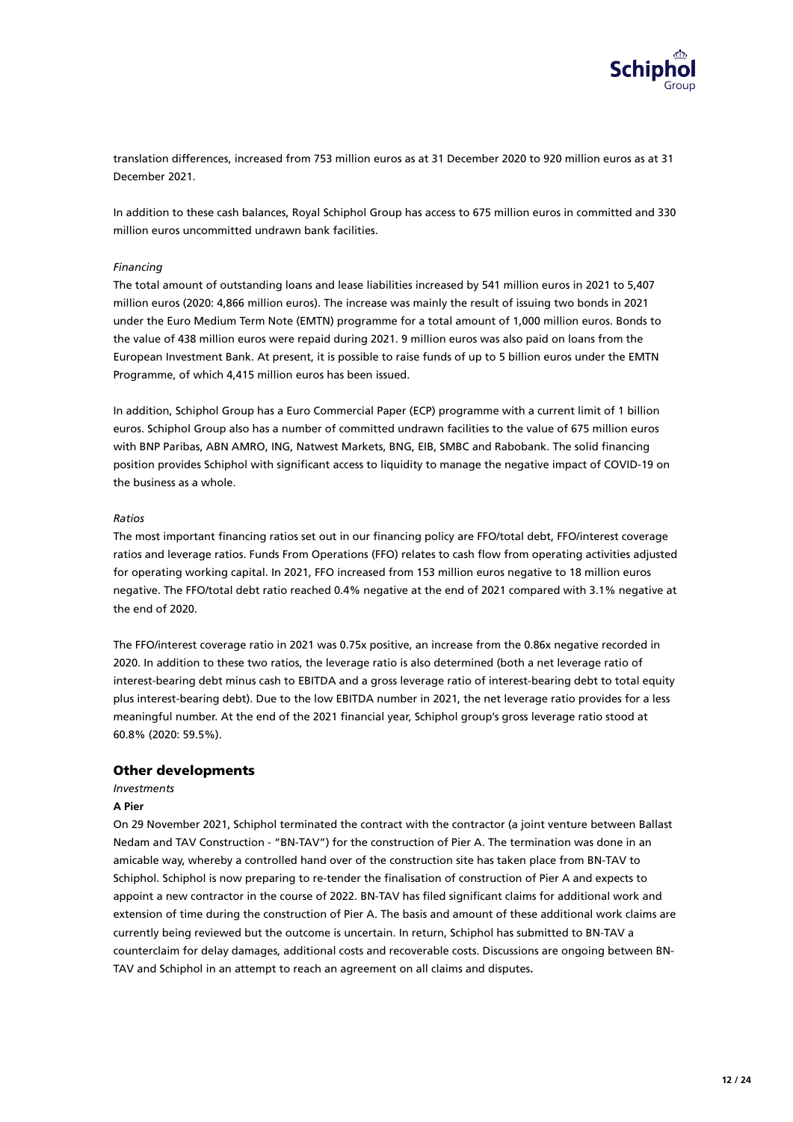

translation differences, increased from 753 million euros as at 31 December 2020 to 920 million euros as at 31 December 2021.

In addition to these cash balances, Royal Schiphol Group has access to 675 million euros in committed and 330 million euros uncommitted undrawn bank facilities.

#### *Financing*

The total amount of outstanding loans and lease liabilities increased by 541 million euros in 2021 to 5,407 million euros (2020: 4,866 million euros). The increase was mainly the result of issuing two bonds in 2021 under the Euro Medium Term Note (EMTN) programme for a total amount of 1,000 million euros. Bonds to the value of 438 million euros were repaid during 2021. 9 million euros was also paid on loans from the European Investment Bank. At present, it is possible to raise funds of up to 5 billion euros under the EMTN Programme, of which 4,415 million euros has been issued.

In addition, Schiphol Group has a Euro Commercial Paper (ECP) programme with a current limit of 1 billion euros. Schiphol Group also has a number of committed undrawn facilities to the value of 675 million euros with BNP Paribas, ABN AMRO, ING, Natwest Markets, BNG, EIB, SMBC and Rabobank. The solid financing position provides Schiphol with significant access to liquidity to manage the negative impact of COVID-19 on the business as a whole.

#### *Ratios*

The most important financing ratios set out in our financing policy are FFO/total debt, FFO/interest coverage ratios and leverage ratios. Funds From Operations (FFO) relates to cash flow from operating activities adjusted for operating working capital. In 2021, FFO increased from 153 million euros negative to 18 million euros negative. The FFO/total debt ratio reached 0.4% negative at the end of 2021 compared with 3.1% negative at the end of 2020.

The FFO/interest coverage ratio in 2021 was 0.75x positive, an increase from the 0.86x negative recorded in 2020. In addition to these two ratios, the leverage ratio is also determined (both a net leverage ratio of interest-bearing debt minus cash to EBITDA and a gross leverage ratio of interest-bearing debt to total equity plus interest-bearing debt). Due to the low EBITDA number in 2021, the net leverage ratio provides for a less meaningful number. At the end of the 2021 financial year, Schiphol group's gross leverage ratio stood at 60.8% (2020: 59.5%).

## Other developments

#### *Investments*

#### **A Pier**

On 29 November 2021, Schiphol terminated the contract with the contractor (a joint venture between Ballast Nedam and TAV Construction - "BN-TAV") for the construction of Pier A. The termination was done in an amicable way, whereby a controlled hand over of the construction site has taken place from BN-TAV to Schiphol. Schiphol is now preparing to re-tender the finalisation of construction of Pier A and expects to appoint a new contractor in the course of 2022. BN-TAV has filed significant claims for additional work and extension of time during the construction of Pier A. The basis and amount of these additional work claims are currently being reviewed but the outcome is uncertain. In return, Schiphol has submitted to BN-TAV a counterclaim for delay damages, additional costs and recoverable costs. Discussions are ongoing between BN-TAV and Schiphol in an attempt to reach an agreement on all claims and disputes**.**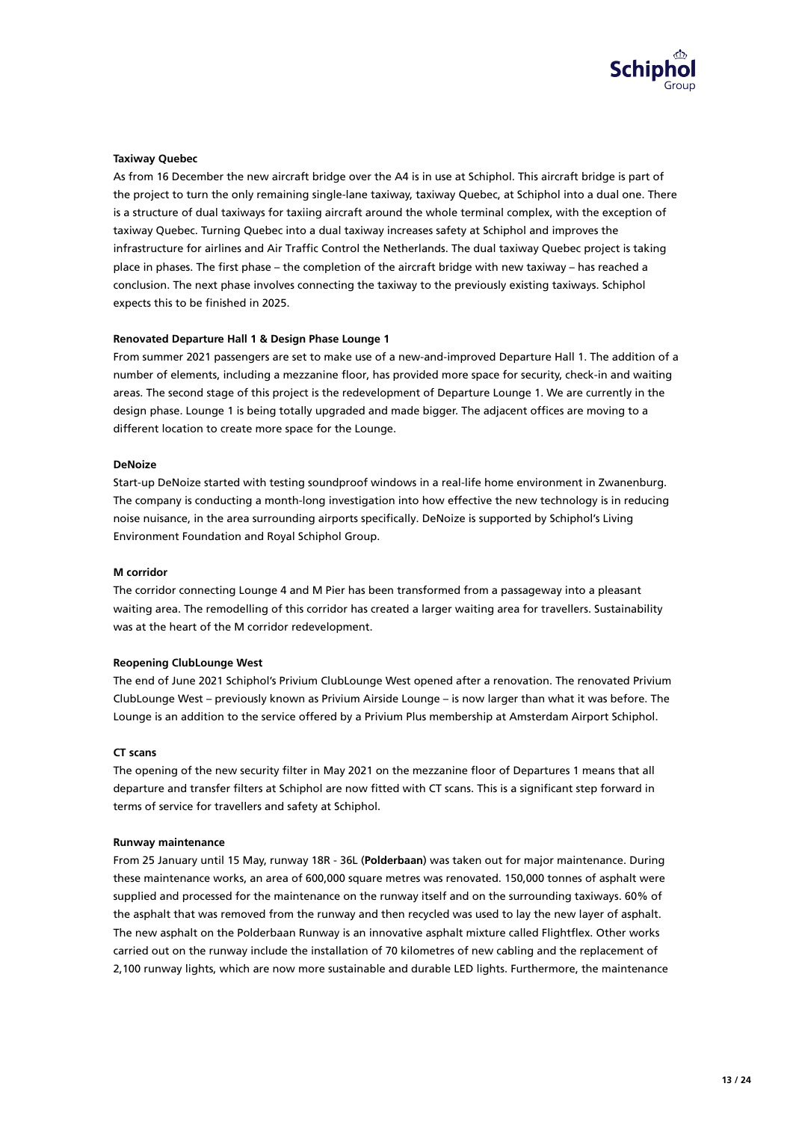

#### **Taxiway Quebec**

As from 16 December the new aircraft bridge over the A4 is in use at Schiphol. This aircraft bridge is part of the project to turn the only remaining single-lane taxiway, taxiway Quebec, at Schiphol into a dual one. There is a structure of dual taxiways for taxiing aircraft around the whole terminal complex, with the exception of taxiway Quebec. Turning Quebec into a dual taxiway increases safety at Schiphol and improves the infrastructure for airlines and Air Traffic Control the Netherlands. The dual taxiway Quebec project is taking place in phases. The first phase – the completion of the aircraft bridge with new taxiway – has reached a conclusion. The next phase involves connecting the taxiway to the previously existing taxiways. Schiphol expects this to be finished in 2025.

#### **Renovated Departure Hall 1 & Design Phase Lounge 1**

From summer 2021 passengers are set to make use of a new-and-improved Departure Hall 1. The addition of a number of elements, including a mezzanine floor, has provided more space for security, check-in and waiting areas. The second stage of this project is the redevelopment of Departure Lounge 1. We are currently in the design phase. Lounge 1 is being totally upgraded and made bigger. The adjacent offices are moving to a different location to create more space for the Lounge.

#### **DeNoize**

Start-up DeNoize started with testing soundproof windows in a real-life home environment in Zwanenburg. The company is conducting a month-long investigation into how effective the new technology is in reducing noise nuisance, in the area surrounding airports specifically. DeNoize is supported by Schiphol's Living Environment Foundation and Royal Schiphol Group.

#### **M corridor**

The corridor connecting Lounge 4 and M Pier has been transformed from a passageway into a pleasant waiting area. The remodelling of this corridor has created a larger waiting area for travellers. Sustainability was at the heart of the M corridor redevelopment.

#### **Reopening ClubLounge West**

The end of June 2021 Schiphol's Privium ClubLounge West opened after a renovation. The renovated Privium ClubLounge West – previously known as Privium Airside Lounge – is now larger than what it was before. The Lounge is an addition to the service offered by a Privium Plus membership at Amsterdam Airport Schiphol.

#### **CT scans**

The opening of the new security filter in May 2021 on the mezzanine floor of Departures 1 means that all departure and transfer filters at Schiphol are now fitted with CT scans. This is a significant step forward in terms of service for travellers and safety at Schiphol.

#### **Runway maintenance**

From 25 January until 15 May, runway 18R - 36L (**Polderbaan**) was taken out for major maintenance. During these maintenance works, an area of 600,000 square metres was renovated. 150,000 tonnes of asphalt were supplied and processed for the maintenance on the runway itself and on the surrounding taxiways. 60% of the asphalt that was removed from the runway and then recycled was used to lay the new layer of asphalt. The new asphalt on the Polderbaan Runway is an innovative asphalt mixture called Flightflex. Other works carried out on the runway include the installation of 70 kilometres of new cabling and the replacement of 2,100 runway lights, which are now more sustainable and durable LED lights. Furthermore, the maintenance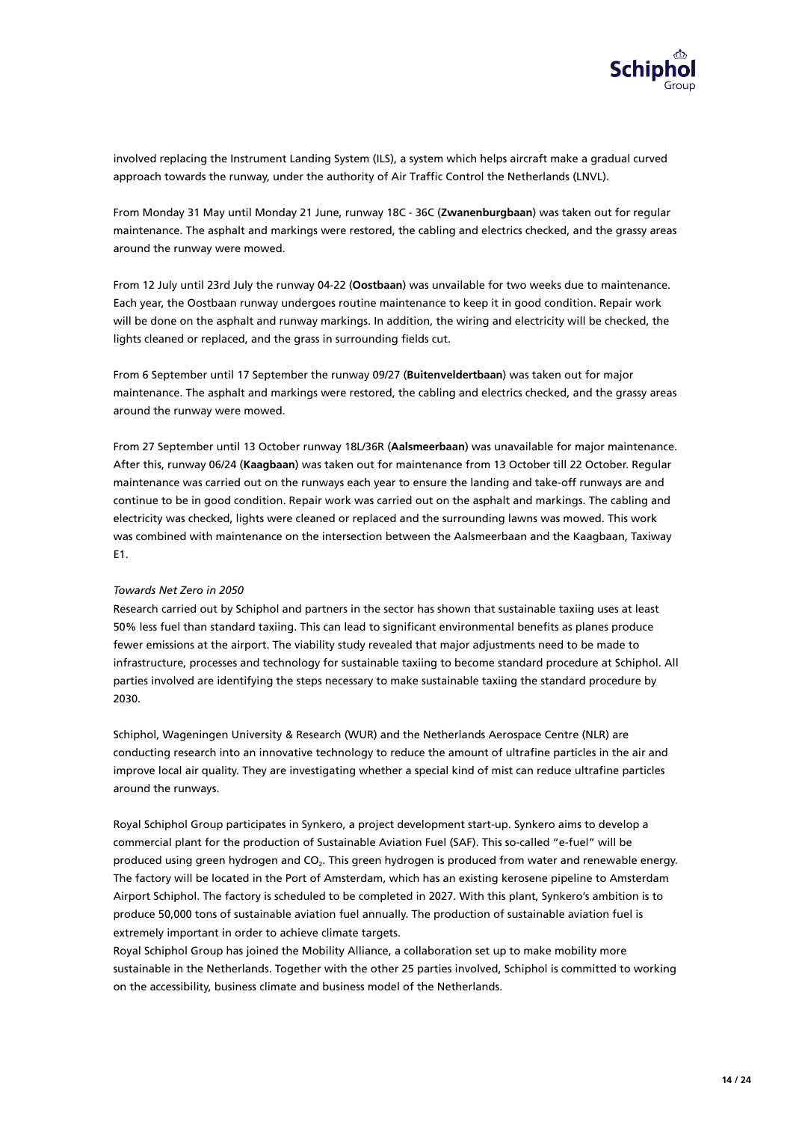

involved replacing the Instrument Landing System (ILS), a system which helps aircraft make a gradual curved approach towards the runway, under the authority of Air Traffic Control the Netherlands (LNVL).

From Monday 31 May until Monday 21 June, runway 18C - 36C (**Zwanenburgbaan**) was taken out for regular maintenance. The asphalt and markings were restored, the cabling and electrics checked, and the grassy areas around the runway were mowed.

From 12 July until 23rd July the runway 04-22 (**Oostbaan**) was unvailable for two weeks due to maintenance. Each year, the Oostbaan runway undergoes routine maintenance to keep it in good condition. Repair work will be done on the asphalt and runway markings. In addition, the wiring and electricity will be checked, the lights cleaned or replaced, and the grass in surrounding fields cut.

From 6 September until 17 September the runway 09/27 (**Buitenveldertbaan**) was taken out for major maintenance. The asphalt and markings were restored, the cabling and electrics checked, and the grassy areas around the runway were mowed.

From 27 September until 13 October runway 18L/36R (**Aalsmeerbaan**) was unavailable for major maintenance. After this, runway 06/24 (**Kaagbaan**) was taken out for maintenance from 13 October till 22 October. Regular maintenance was carried out on the runways each year to ensure the landing and take-off runways are and continue to be in good condition. Repair work was carried out on the asphalt and markings. The cabling and electricity was checked, lights were cleaned or replaced and the surrounding lawns was mowed. This work was combined with maintenance on the intersection between the Aalsmeerbaan and the Kaagbaan, Taxiway E1.

#### *Towards Net Zero in 2050*

Research carried out by Schiphol and partners in the sector has shown that sustainable taxiing uses at least 50% less fuel than standard taxiing. This can lead to significant environmental benefits as planes produce fewer emissions at the airport. The viability study revealed that major adjustments need to be made to infrastructure, processes and technology for sustainable taxiing to become standard procedure at Schiphol. All parties involved are identifying the steps necessary to make sustainable taxiing the standard procedure by 2030.

Schiphol, Wageningen University & Research (WUR) and the Netherlands Aerospace Centre (NLR) are conducting research into an innovative technology to reduce the amount of ultrafine particles in the air and improve local air quality. They are investigating whether a special kind of mist can reduce ultrafine particles around the runways.

Royal Schiphol Group participates in Synkero, a project development start-up. Synkero aims to develop a commercial plant for the production of Sustainable Aviation Fuel (SAF). This so-called "e-fuel" will be produced using green hydrogen and CO<sub>2</sub>. This green hydrogen is produced from water and renewable energy. The factory will be located in the Port of Amsterdam, which has an existing kerosene pipeline to Amsterdam Airport Schiphol. The factory is scheduled to be completed in 2027. With this plant, Synkero's ambition is to produce 50,000 tons of sustainable aviation fuel annually. The production of sustainable aviation fuel is extremely important in order to achieve climate targets.

Royal Schiphol Group has joined the Mobility Alliance, a collaboration set up to make mobility more sustainable in the Netherlands. Together with the other 25 parties involved, Schiphol is committed to working on the accessibility, business climate and business model of the Netherlands.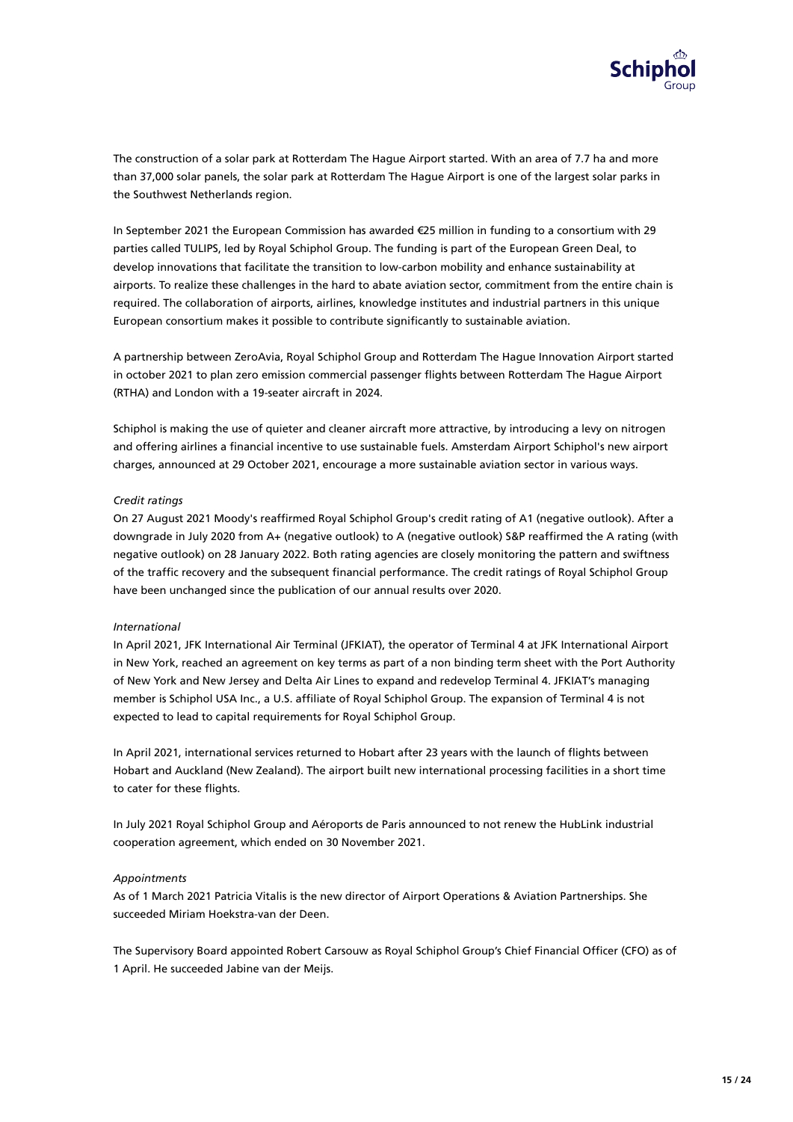

The construction of a solar park at Rotterdam The Hague Airport started. With an area of 7.7 ha and more than 37,000 solar panels, the solar park at Rotterdam The Hague Airport is one of the largest solar parks in the Southwest Netherlands region.

In September 2021 the European Commission has awarded €25 million in funding to a consortium with 29 parties called TULIPS, led by Royal Schiphol Group. The funding is part of the European Green Deal, to develop innovations that facilitate the transition to low-carbon mobility and enhance sustainability at airports. To realize these challenges in the hard to abate aviation sector, commitment from the entire chain is required. The collaboration of airports, airlines, knowledge institutes and industrial partners in this unique European consortium makes it possible to contribute significantly to sustainable aviation.

A partnership between ZeroAvia, Royal Schiphol Group and Rotterdam The Hague Innovation Airport started in october 2021 to plan zero emission commercial passenger flights between Rotterdam The Hague Airport (RTHA) and London with a 19-seater aircraft in 2024.

Schiphol is making the use of quieter and cleaner aircraft more attractive, by introducing a levy on nitrogen and offering airlines a financial incentive to use sustainable fuels. Amsterdam Airport Schiphol's new airport charges, announced at 29 October 2021, encourage a more sustainable aviation sector in various ways.

#### *Credit ratings*

On 27 August 2021 Moody's reaffirmed Royal Schiphol Group's credit rating of A1 (negative outlook). After a downgrade in July 2020 from A+ (negative outlook) to A (negative outlook) S&P reaffirmed the A rating (with negative outlook) on 28 January 2022. Both rating agencies are closely monitoring the pattern and swiftness of the traffic recovery and the subsequent financial performance. The credit ratings of Royal Schiphol Group have been unchanged since the publication of our annual results over 2020.

#### *International*

In April 2021, JFK International Air Terminal (JFKIAT), the operator of Terminal 4 at JFK International Airport in New York, reached an agreement on key terms as part of a non binding term sheet with the Port Authority of New York and New Jersey and Delta Air Lines to expand and redevelop Terminal 4. JFKIAT's managing member is Schiphol USA Inc., a U.S. afliate of Royal Schiphol Group. The expansion of Terminal 4 is not expected to lead to capital requirements for Royal Schiphol Group.

In April 2021, international services returned to Hobart after 23 years with the launch of flights between Hobart and Auckland (New Zealand). The airport built new international processing facilities in a short time to cater for these flights.

In July 2021 Royal Schiphol Group and Aéroports de Paris announced to not renew the HubLink industrial cooperation agreement, which ended on 30 November 2021.

#### *Appointments*

As of 1 March 2021 Patricia Vitalis is the new director of Airport Operations & Aviation Partnerships. She succeeded Miriam Hoekstra-van der Deen.

The Supervisory Board appointed Robert Carsouw as Royal Schiphol Group's Chief Financial Officer (CFO) as of 1 April. He succeeded Jabine van der Meijs.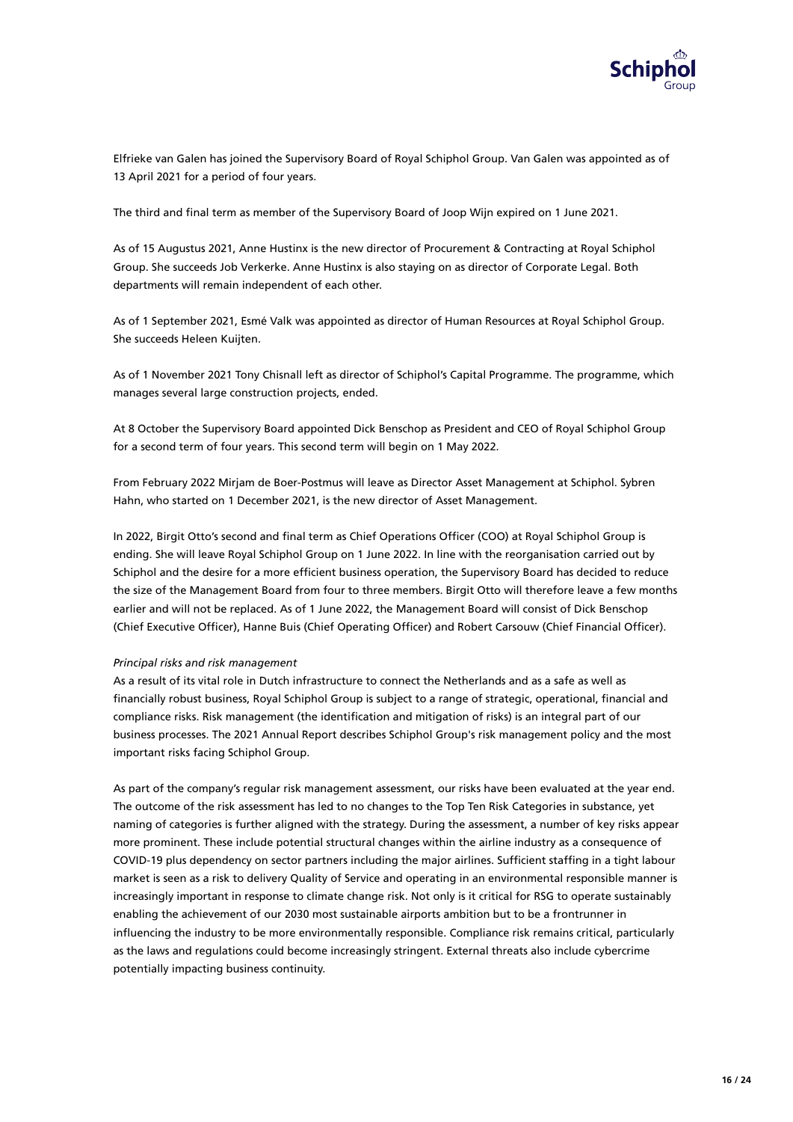

Elfrieke van Galen has joined the Supervisory Board of Royal Schiphol Group. Van Galen was appointed as of 13 April 2021 for a period of four years.

The third and final term as member of the Supervisory Board of Joop Wijn expired on 1 June 2021.

As of 15 Augustus 2021, Anne Hustinx is the new director of Procurement & Contracting at Royal Schiphol Group. She succeeds Job Verkerke. Anne Hustinx is also staying on as director of Corporate Legal. Both departments will remain independent of each other.

As of 1 September 2021, Esmé Valk was appointed as director of Human Resources at Royal Schiphol Group. She succeeds Heleen Kuijten.

As of 1 November 2021 Tony Chisnall left as director of Schiphol's Capital Programme. The programme, which manages several large construction projects, ended.

At 8 October the Supervisory Board appointed Dick Benschop as President and CEO of Royal Schiphol Group for a second term of four years. This second term will begin on 1 May 2022.

From February 2022 Mirjam de Boer-Postmus will leave as Director Asset Management at Schiphol. Sybren Hahn, who started on 1 December 2021, is the new director of Asset Management.

In 2022, Birgit Otto's second and final term as Chief Operations Officer (COO) at Royal Schiphol Group is ending. She will leave Royal Schiphol Group on 1 June 2022. In line with the reorganisation carried out by Schiphol and the desire for a more efficient business operation, the Supervisory Board has decided to reduce the size of the Management Board from four to three members. Birgit Otto will therefore leave a few months earlier and will not be replaced. As of 1 June 2022, the Management Board will consist of Dick Benschop (Chief Executive Officer), Hanne Buis (Chief Operating Officer) and Robert Carsouw (Chief Financial Officer).

#### *Principal risks and risk management*

As a result of its vital role in Dutch infrastructure to connect the Netherlands and as a safe as well as financially robust business, Royal Schiphol Group is subject to a range of strategic, operational, financial and compliance risks. Risk management (the identification and mitigation of risks) is an integral part of our business processes. The 2021 Annual Report describes Schiphol Group's risk management policy and the most important risks facing Schiphol Group.

As part of the company's regular risk management assessment, our risks have been evaluated at the year end. The outcome of the risk assessment has led to no changes to the Top Ten Risk Categories in substance, yet naming of categories is further aligned with the strategy. During the assessment, a number of key risks appear more prominent. These include potential structural changes within the airline industry as a consequence of COVID-19 plus dependency on sector partners including the major airlines. Sufficient staffing in a tight labour market is seen as a risk to delivery Quality of Service and operating in an environmental responsible manner is increasingly important in response to climate change risk. Not only is it critical for RSG to operate sustainably enabling the achievement of our 2030 most sustainable airports ambition but to be a frontrunner in influencing the industry to be more environmentally responsible. Compliance risk remains critical, particularly as the laws and regulations could become increasingly stringent. External threats also include cybercrime potentially impacting business continuity.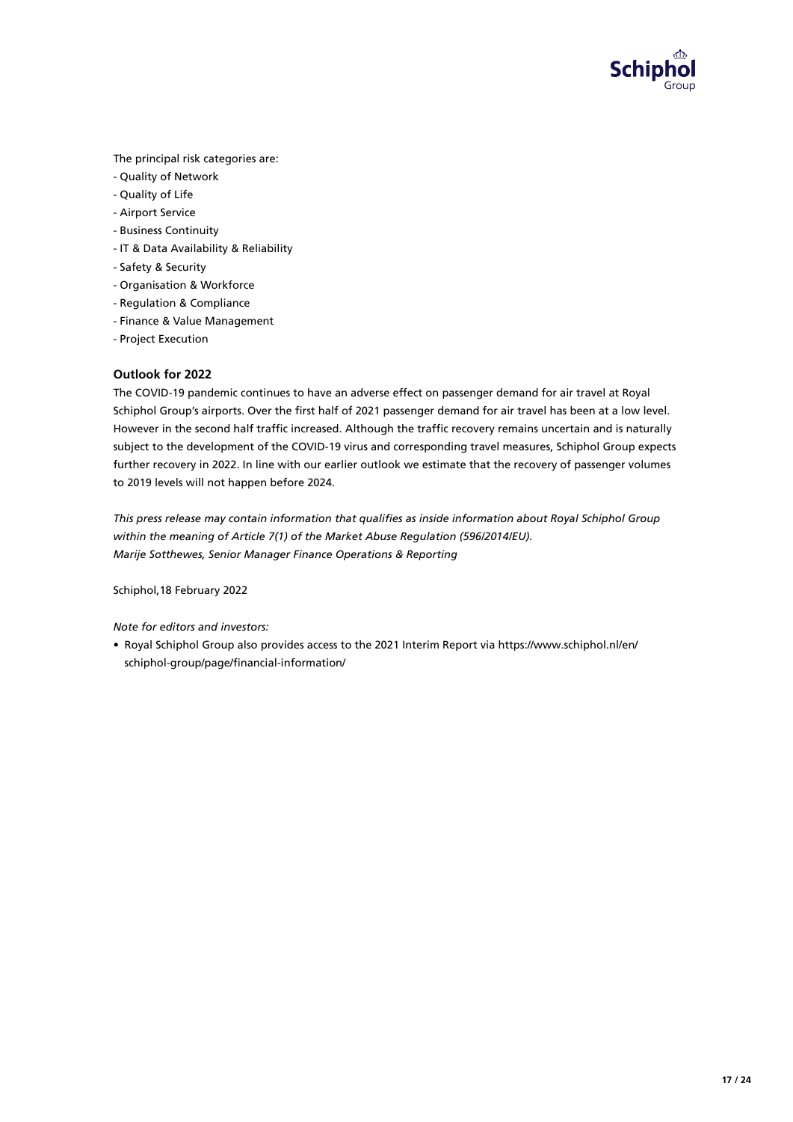

The principal risk categories are:

- Quality of Network
- Quality of Life
- Airport Service
- Business Continuity
- IT & Data Availability & Reliability
- Safety & Security
- Organisation & Workforce
- Regulation & Compliance
- Finance & Value Management
- Project Execution

# **Outlook for 2022**

The COVID-19 pandemic continues to have an adverse effect on passenger demand for air travel at Royal Schiphol Group's airports. Over the first half of 2021 passenger demand for air travel has been at a low level. However in the second half traffic increased. Although the traffic recovery remains uncertain and is naturally subject to the development of the COVID-19 virus and corresponding travel measures, Schiphol Group expects further recovery in 2022. In line with our earlier outlook we estimate that the recovery of passenger volumes to 2019 levels will not happen before 2024.

This press release may contain information that qualifies as inside information about Royal Schiphol Group *within the meaning of Article 7(1) of the Market Abuse Regulation (596/2014/EU). Marije Sotthewes, Senior Manager Finance Operations & Reporting*

Schiphol,18 February 2022

*Note for editors and investors:*

• Royal Schiphol Group also provides access to the 2021 Interim Report via https://www.schiphol.nl/en/ schiphol-group/page/financial-information/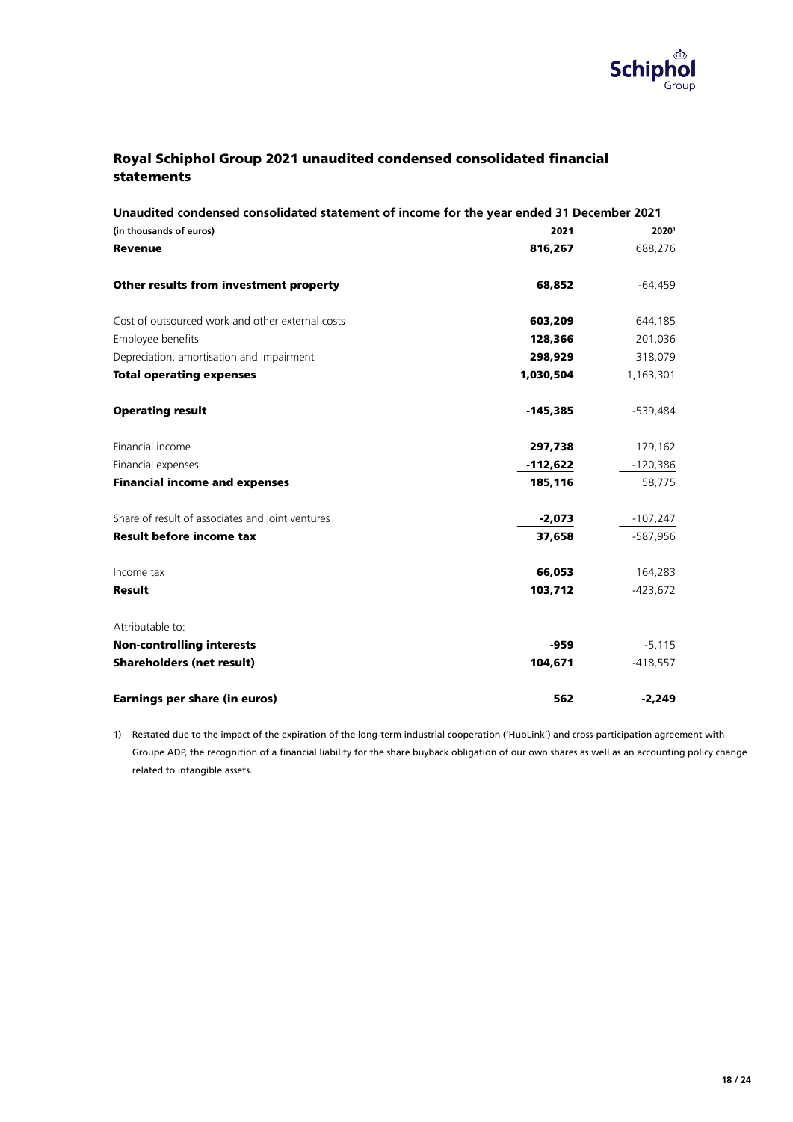

# Royal Schiphol Group 2021 unaudited condensed consolidated financial statements

| Unaudited condensed consolidated statement of income for the year ended 31 December 2021 |            |            |  |  |  |
|------------------------------------------------------------------------------------------|------------|------------|--|--|--|
| (in thousands of euros)                                                                  | 2021       | 20201      |  |  |  |
| <b>Revenue</b>                                                                           | 816,267    | 688,276    |  |  |  |
| Other results from investment property                                                   | 68,852     | $-64,459$  |  |  |  |
| Cost of outsourced work and other external costs                                         | 603,209    | 644,185    |  |  |  |
| Employee benefits                                                                        | 128,366    | 201,036    |  |  |  |
| Depreciation, amortisation and impairment                                                | 298,929    | 318,079    |  |  |  |
| <b>Total operating expenses</b>                                                          | 1,030,504  | 1,163,301  |  |  |  |
| <b>Operating result</b>                                                                  | $-145,385$ | -539,484   |  |  |  |
| Financial income                                                                         | 297,738    | 179,162    |  |  |  |
| Financial expenses                                                                       | $-112,622$ | $-120,386$ |  |  |  |
| <b>Financial income and expenses</b>                                                     | 185,116    | 58,775     |  |  |  |
| Share of result of associates and joint ventures                                         | $-2,073$   | $-107,247$ |  |  |  |
| <b>Result before income tax</b>                                                          | 37,658     | -587,956   |  |  |  |
| Income tax                                                                               | 66,053     | 164,283    |  |  |  |
| <b>Result</b>                                                                            | 103,712    | $-423.672$ |  |  |  |
| Attributable to:                                                                         |            |            |  |  |  |
| <b>Non-controlling interests</b>                                                         | $-959$     | $-5,115$   |  |  |  |
| <b>Shareholders (net result)</b>                                                         | 104,671    | $-418,557$ |  |  |  |
| <b>Earnings per share (in euros)</b>                                                     | 562        | $-2,249$   |  |  |  |

1) Restated due to the impact of the expiration of the long-term industrial cooperation ('HubLink') and cross-participation agreement with Groupe ADP, the recognition of a financial liability for the share buyback obligation of our own shares as well as an accounting policy change related to intangible assets.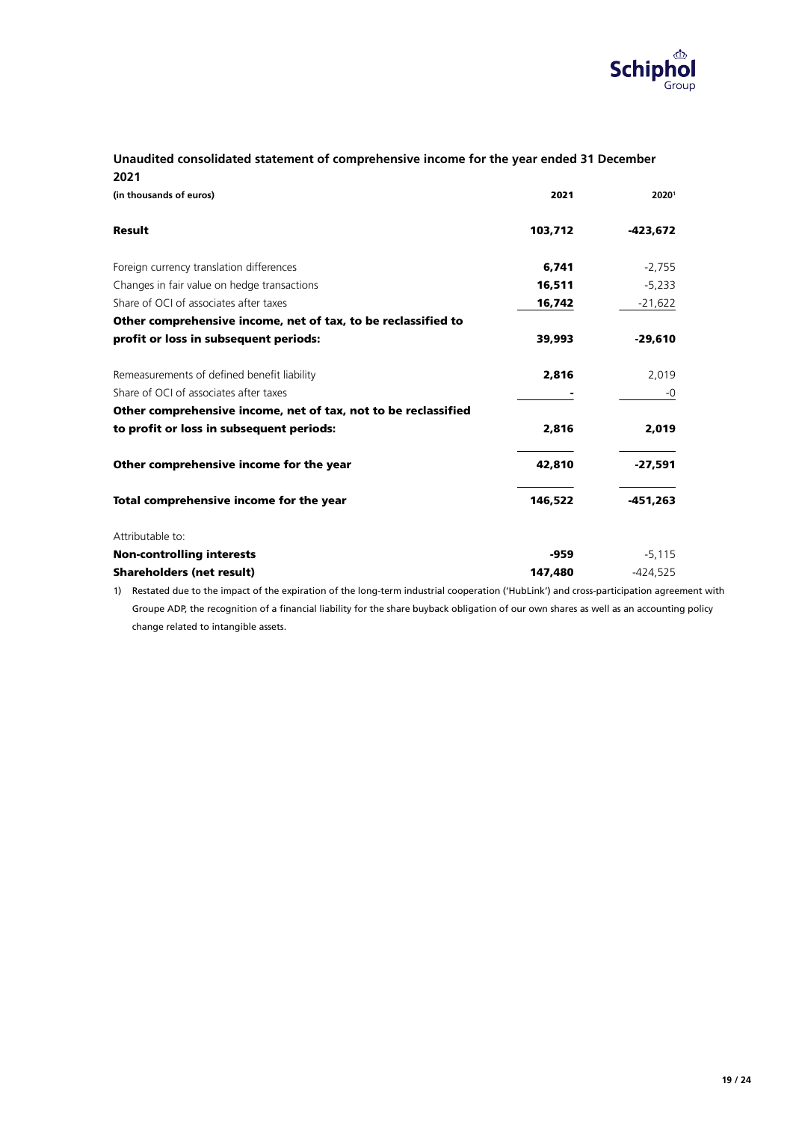

# **Unaudited consolidated statement of comprehensive income for the year ended 31 December 2021**

| (in thousands of euros)                                        | 2021    | 20201      |
|----------------------------------------------------------------|---------|------------|
| Result                                                         | 103,712 | -423,672   |
| Foreign currency translation differences                       | 6,741   | $-2,755$   |
| Changes in fair value on hedge transactions                    | 16,511  | $-5,233$   |
| Share of OCL of associates after taxes                         | 16,742  | $-21,622$  |
| Other comprehensive income, net of tax, to be reclassified to  |         |            |
| profit or loss in subsequent periods:                          | 39,993  | -29,610    |
| Remeasurements of defined benefit liability                    | 2,816   | 2,019      |
| Share of OCI of associates after taxes                         |         | -0         |
| Other comprehensive income, net of tax, not to be reclassified |         |            |
| to profit or loss in subsequent periods:                       | 2,816   | 2,019      |
| Other comprehensive income for the year                        | 42,810  | $-27,591$  |
| Total comprehensive income for the year                        | 146,522 | $-451,263$ |
| Attributable to:                                               |         |            |
| <b>Non-controlling interests</b>                               | -959    | $-5,115$   |
| <b>Shareholders (net result)</b>                               | 147,480 | $-424,525$ |

1) Restated due to the impact of the expiration of the long-term industrial cooperation ('HubLink') and cross-participation agreement with Groupe ADP, the recognition of a financial liability for the share buyback obligation of our own shares as well as an accounting policy change related to intangible assets.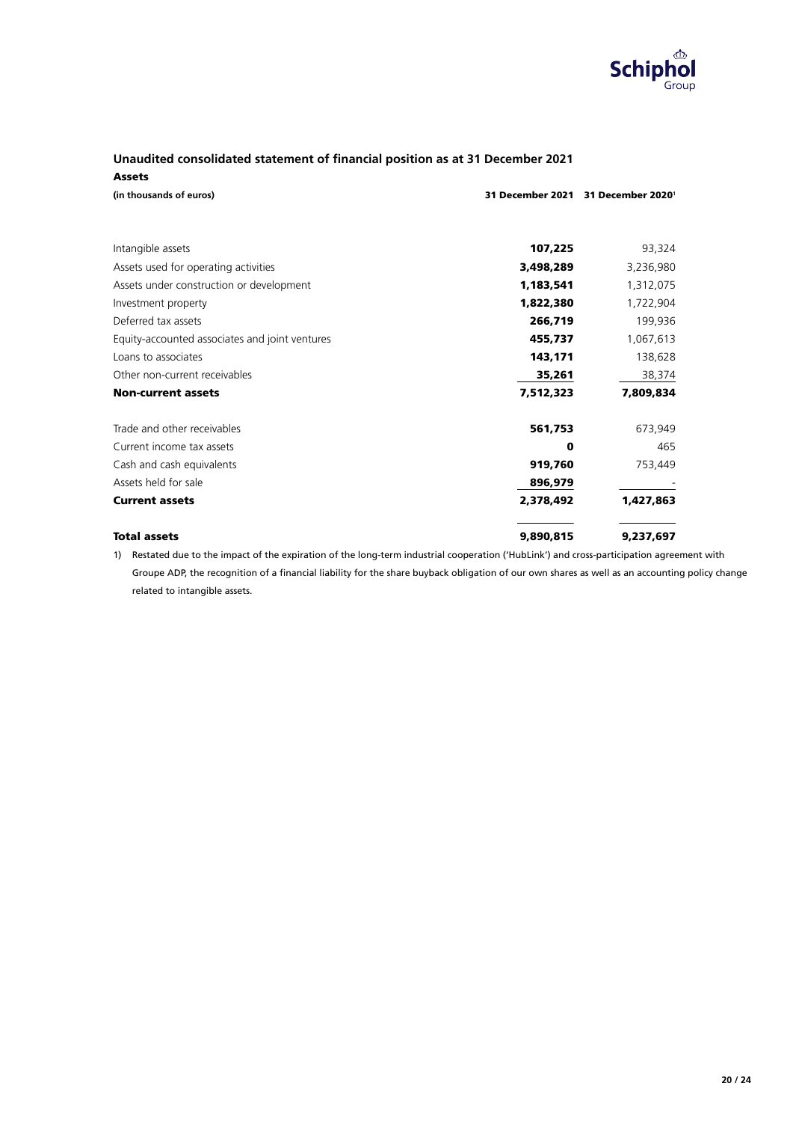

# **Unaudited consolidated statement of financial position as at 31 December 2021** Assets

| (in thousands of euros)                        |           | 31 December 2021 31 December 2020 |
|------------------------------------------------|-----------|-----------------------------------|
|                                                |           |                                   |
| Intangible assets                              | 107,225   | 93,324                            |
| Assets used for operating activities           | 3,498,289 | 3,236,980                         |
| Assets under construction or development       | 1,183,541 | 1,312,075                         |
| Investment property                            | 1,822,380 | 1,722,904                         |
| Deferred tax assets                            | 266,719   | 199,936                           |
| Equity-accounted associates and joint ventures | 455,737   | 1,067,613                         |
| Loans to associates                            | 143,171   | 138,628                           |
| Other non-current receivables                  | 35,261    | 38,374                            |
| <b>Non-current assets</b>                      | 7,512,323 | 7,809,834                         |
| Trade and other receivables                    | 561,753   | 673,949                           |
| Current income tax assets                      | 0         | 465                               |
| Cash and cash equivalents                      | 919,760   | 753,449                           |
| Assets held for sale                           | 896,979   |                                   |
| <b>Current assets</b>                          | 2,378,492 | 1,427,863                         |
| <b>Total assets</b>                            | 9,890,815 | 9,237,697                         |

1) Restated due to the impact of the expiration of the long-term industrial cooperation ('HubLink') and cross-participation agreement with Groupe ADP, the recognition of a financial liability for the share buyback obligation of our own shares as well as an accounting policy change related to intangible assets.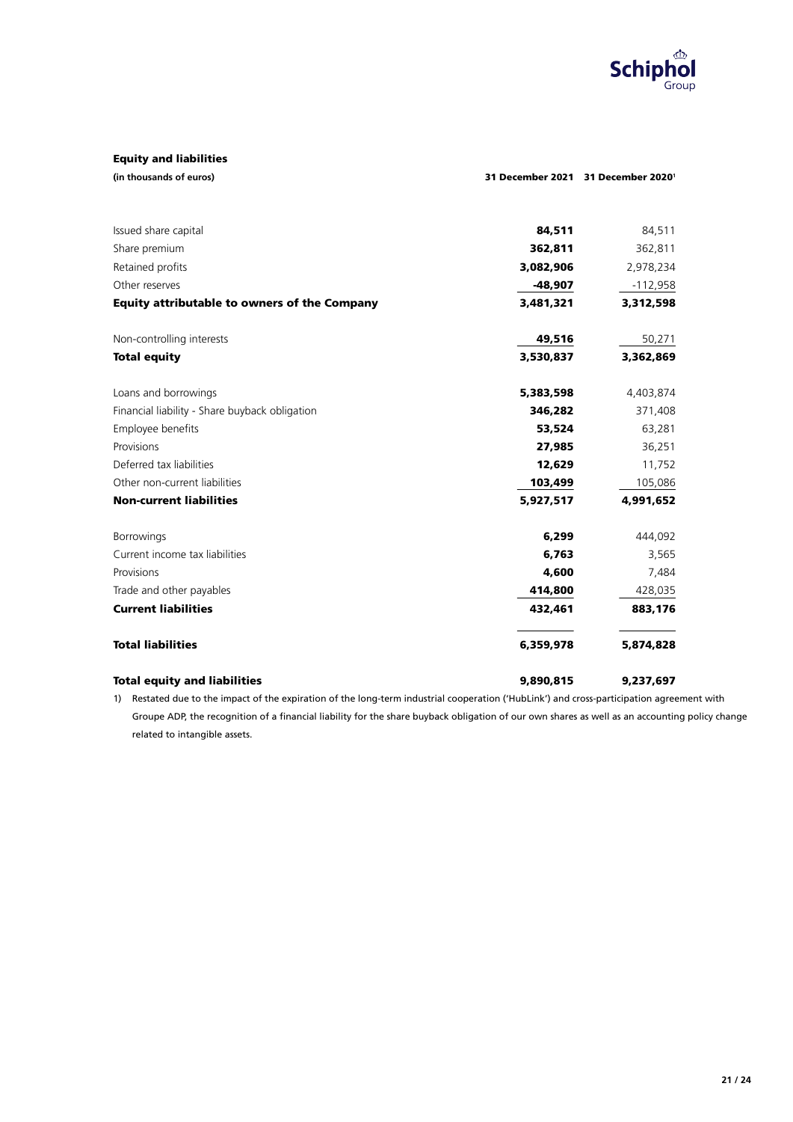

# Equity and liabilities

| (in thousands of euros) |  |
|-------------------------|--|
|-------------------------|--|

| Issued share capital                                | 84,511    | 84,511     |
|-----------------------------------------------------|-----------|------------|
| Share premium                                       | 362,811   | 362,811    |
| Retained profits                                    | 3,082,906 | 2,978,234  |
| Other reserves                                      | $-48,907$ | $-112,958$ |
| <b>Equity attributable to owners of the Company</b> | 3,481,321 | 3,312,598  |
| Non-controlling interests                           | 49,516    | 50,271     |
| <b>Total equity</b>                                 | 3,530,837 | 3,362,869  |
| Loans and borrowings                                | 5,383,598 | 4,403,874  |
| Financial liability - Share buyback obligation      | 346,282   | 371,408    |
| Employee benefits                                   | 53,524    | 63,281     |
| Provisions                                          | 27,985    | 36,251     |
| Deferred tax liabilities                            | 12,629    | 11,752     |
| Other non-current liabilities                       | 103,499   | 105,086    |
| <b>Non-current liabilities</b>                      | 5,927,517 | 4,991,652  |
| <b>Borrowings</b>                                   | 6,299     | 444,092    |
| Current income tax liabilities                      | 6,763     | 3,565      |
| Provisions                                          | 4,600     | 7,484      |
| Trade and other payables                            | 414,800   | 428,035    |
| <b>Current liabilities</b>                          | 432,461   | 883,176    |
| <b>Total liabilities</b>                            | 6,359,978 | 5,874,828  |
| <b>Total equity and liabilities</b>                 | 9,890,815 | 9,237,697  |

1) Restated due to the impact of the expiration of the long-term industrial cooperation ('HubLink') and cross-participation agreement with Groupe ADP, the recognition of a financial liability for the share buyback obligation of our own shares as well as an accounting policy change related to intangible assets.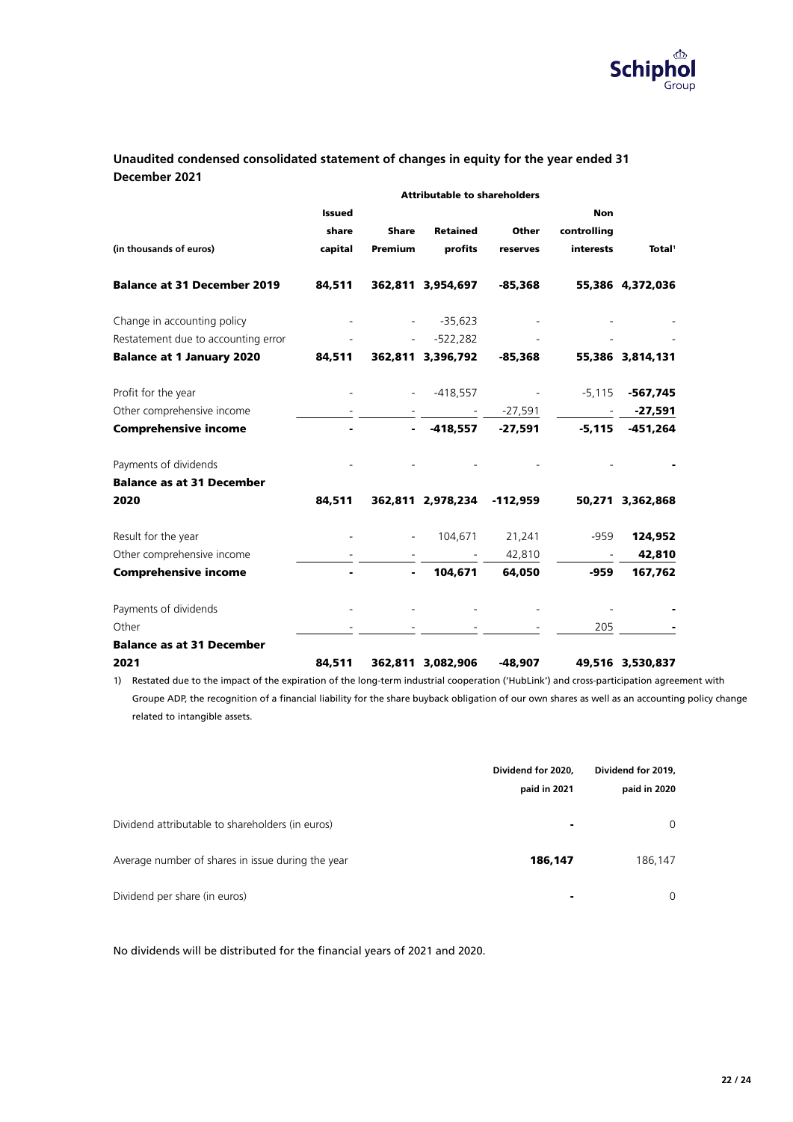

# **Unaudited condensed consolidated statement of changes in equity for the year ended 31 December 2021**

|                                     | <b>Attributable to shareholders</b> |                          |                   |              |                  |                    |
|-------------------------------------|-------------------------------------|--------------------------|-------------------|--------------|------------------|--------------------|
|                                     | <b>Issued</b>                       |                          |                   |              | <b>Non</b>       |                    |
|                                     | share                               | <b>Share</b>             | <b>Retained</b>   | <b>Other</b> | controlling      |                    |
| (in thousands of euros)             | capital                             | Premium                  | profits           | reserves     | <b>interests</b> | Total <sup>1</sup> |
| <b>Balance at 31 December 2019</b>  | 84,511                              |                          | 362,811 3,954,697 | $-85,368$    |                  | 55,386 4,372,036   |
| Change in accounting policy         |                                     | $\overline{\phantom{a}}$ | $-35,623$         |              |                  |                    |
| Restatement due to accounting error |                                     |                          | -522,282          |              |                  |                    |
| <b>Balance at 1 January 2020</b>    | 84,511                              |                          | 362,811 3,396,792 | $-85,368$    |                  | 55,386 3,814,131   |
| Profit for the year                 |                                     |                          | -418,557          |              | $-5,115$         | -567,745           |
| Other comprehensive income          |                                     |                          |                   | $-27,591$    | $\blacksquare$   | -27,591            |
| <b>Comprehensive income</b>         |                                     |                          | - -418,557        | $-27,591$    | $-5,115$         | $-451,264$         |
| Payments of dividends               |                                     |                          |                   |              |                  |                    |
| <b>Balance as at 31 December</b>    |                                     |                          |                   |              |                  |                    |
| 2020                                | 84,511                              |                          | 362,811 2,978,234 | $-112,959$   |                  | 50,271 3,362,868   |
| Result for the year                 |                                     | $\overline{\phantom{a}}$ | 104,671           | 21,241       | $-959$           | 124,952            |
| Other comprehensive income          |                                     |                          |                   | 42,810       |                  | 42,810             |
| <b>Comprehensive income</b>         |                                     |                          | 104,671           | 64,050       | $-959$           | 167,762            |
| Payments of dividends               |                                     |                          |                   |              |                  |                    |
| Other                               |                                     |                          |                   |              | 205              |                    |
| <b>Balance as at 31 December</b>    |                                     |                          |                   |              |                  |                    |
| 2021                                | 84,511                              |                          | 362,811 3,082,906 | $-48,907$    |                  | 49,516 3,530,837   |

1) Restated due to the impact of the expiration of the long-term industrial cooperation ('HubLink') and cross-participation agreement with Groupe ADP, the recognition of a financial liability for the share buyback obligation of our own shares as well as an accounting policy change related to intangible assets.

|                                                   | Dividend for 2020, | Dividend for 2019, |  |
|---------------------------------------------------|--------------------|--------------------|--|
|                                                   | paid in 2021       | paid in 2020       |  |
| Dividend attributable to shareholders (in euros)  | ۰                  | 0                  |  |
| Average number of shares in issue during the year | 186,147            | 186,147            |  |
| Dividend per share (in euros)                     | $\blacksquare$     | 0                  |  |

No dividends will be distributed for the financial years of 2021 and 2020.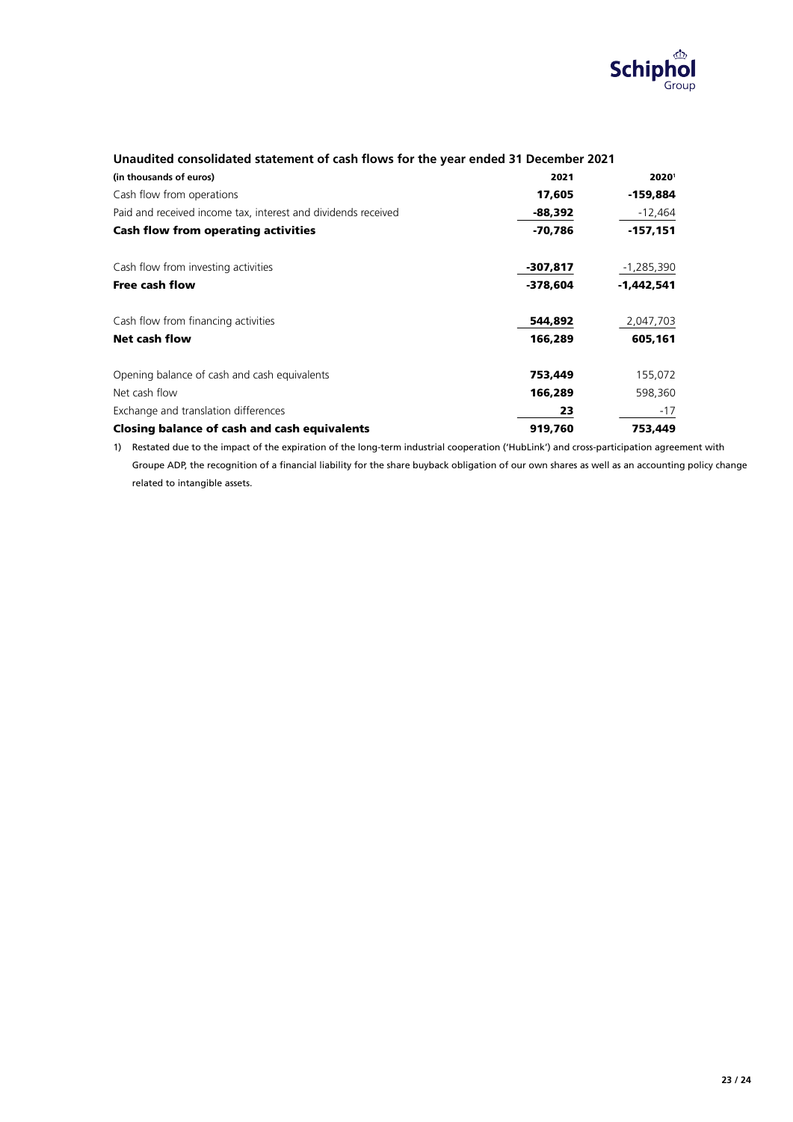

| (in thousands of euros)                                       | 2021       | 20201      |
|---------------------------------------------------------------|------------|------------|
| Cash flow from operations                                     | 17,605     | -159,884   |
| Paid and received income tax, interest and dividends received | $-88,392$  | $-12,464$  |
| <b>Cash flow from operating activities</b>                    | $-70,786$  | $-157,151$ |
| Cash flow from investing activities                           | -307,817   | -1,285,390 |
| <b>Free cash flow</b>                                         | $-378.604$ | -1,442,541 |
| Cash flow from financing activities                           | 544,892    | 2,047,703  |
| <b>Net cash flow</b>                                          | 166,289    | 605,161    |
| Opening balance of cash and cash equivalents                  | 753,449    | 155,072    |
| Net cash flow                                                 | 166,289    | 598,360    |
| Exchange and translation differences                          | 23         | $-17$      |
| Closing balance of cash and cash equivalents                  | 919,760    | 753,449    |

## Unaudited consolidated statement of cash flows for the year ended 31 December 2021

1) Restated due to the impact of the expiration of the long-term industrial cooperation ('HubLink') and cross-participation agreement with Groupe ADP, the recognition of a financial liability for the share buyback obligation of our own shares as well as an accounting policy change related to intangible assets.